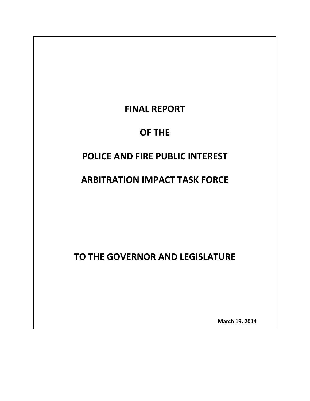# **FINAL REPORT**

# **OF THE**

# **POLICE AND FIRE PUBLIC INTEREST**

# **ARBITRATION IMPACT TASK FORCE**

**TO THE GOVERNOR AND LEGISLATURE**

 **March 19, <sup>2014</sup>**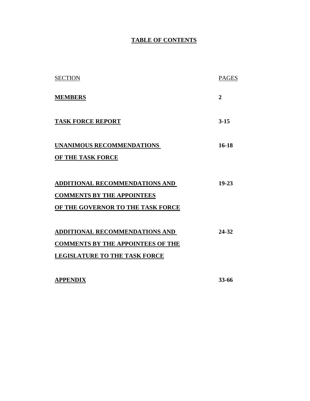#### **TABLE OF CONTENTS**

| <b>MEMBERS</b><br><b>TASK FORCE REPORT</b>                                                                                | $\overline{2}$<br>$3 - 15$ |
|---------------------------------------------------------------------------------------------------------------------------|----------------------------|
|                                                                                                                           |                            |
|                                                                                                                           |                            |
| UNANIMOUS RECOMMENDATIONS<br>OF THE TASK FORCE                                                                            | 16-18                      |
| ADDITIONAL RECOMMENDATIONS AND<br><b>COMMENTS BY THE APPOINTEES</b><br>OF THE GOVERNOR TO THE TASK FORCE                  | 19-23                      |
| <b>ADDITIONAL RECOMMENDATIONS AND</b><br><b>COMMENTS BY THE APPOINTEES OF THE</b><br><b>LEGISLATURE TO THE TASK FORCE</b> | 24-32                      |

**APPENDIX 33-66**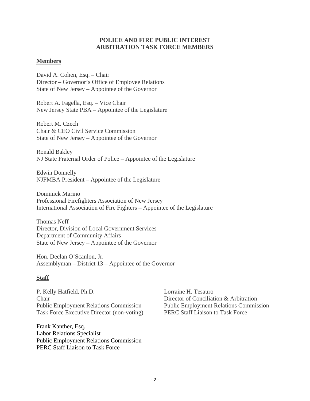#### **POLICE AND FIRE PUBLIC INTEREST ARBITRATION TASK FORCE MEMBERS**

#### **Members**

David A. Cohen, Esq. – Chair Director – Governor's Office of Employee Relations State of New Jersey – Appointee of the Governor

Robert A. Fagella, Esq. – Vice Chair New Jersey State PBA – Appointee of the Legislature

Robert M. Czech Chair & CEO Civil Service Commission State of New Jersey – Appointee of the Governor

Ronald Bakley NJ State Fraternal Order of Police – Appointee of the Legislature

Edwin Donnelly NJFMBA President – Appointee of the Legislature

Dominick Marino Professional Firefighters Association of New Jersey International Association of Fire Fighters – Appointee of the Legislature

Thomas Neff Director, Division of Local Government Services Department of Community Affairs State of New Jersey – Appointee of the Governor

Hon. Declan O'Scanlon, Jr. Assemblyman – District 13 – Appointee of the Governor

#### **Staff**

P. Kelly Hatfield, Ph.D. Lorraine H. Tesauro Chair Director of Conciliation & Arbitration Public Employment Relations Commission Public Employment Relations Commission Task Force Executive Director (non-voting) PERC Staff Liaison to Task Force

Frank Kanther, Esq. Labor Relations Specialist Public Employment Relations Commission PERC Staff Liaison to Task Force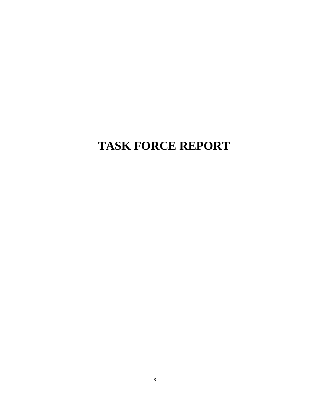# **TASK FORCE REPORT**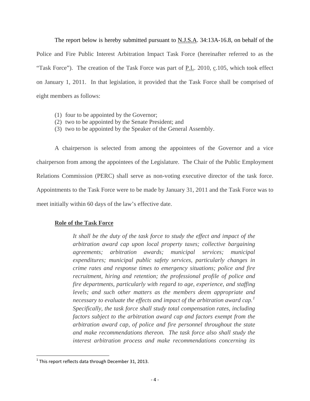The report below is hereby submitted pursuant to **N.J.S.A.** 34:13A-16.8, on behalf of the Police and Fire Public Interest Arbitration Impact Task Force (hereinafter referred to as the "Task Force"). The creation of the Task Force was part of P.L. 2010, c.105, which took effect on January 1, 2011. In that legislation, it provided that the Task Force shall be comprised of eight members as follows:

- (1) four to be appointed by the Governor;
- (2) two to be appointed by the Senate President; and
- (3) two to be appointed by the Speaker of the General Assembly.

A chairperson is selected from among the appointees of the Governor and a vice chairperson from among the appointees of the Legislature. The Chair of the Public Employment Relations Commission (PERC) shall serve as non-voting executive director of the task force. Appointments to the Task Force were to be made by January 31, 2011 and the Task Force was to meet initially within 60 days of the law's effective date.

#### **Role of the Task Force**

*It shall be the duty of the task force to study the effect and impact of the arbitration award cap upon local property taxes; collective bargaining agreements; arbitration awards; municipal services; municipal expenditures; municipal public safety services, particularly changes in crime rates and response times to emergency situations; police and fire recruitment, hiring and retention; the professional profile of police and fire departments, particularly with regard to age, experience, and staffing levels; and such other matters as the members deem appropriate and necessary to evaluate the effects and impact of the arbitration award cap.[1](#page-4-0) Specifically, the task force shall study total compensation rates, including factors subject to the arbitration award cap and factors exempt from the arbitration award cap, of police and fire personnel throughout the state and make recommendations thereon. The task force also shall study the interest arbitration process and make recommendations concerning its* 

<span id="page-4-0"></span>  $1$  This report reflects data through December 31, 2013.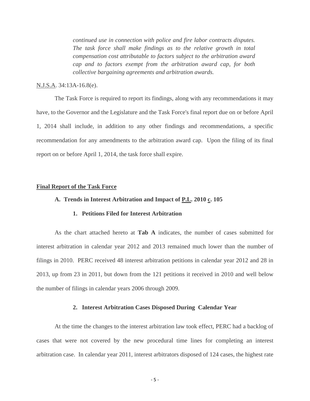*continued use in connection with police and fire labor contracts disputes. The task force shall make findings as to the relative growth in total compensation cost attributable to factors subject to the arbitration award cap and to factors exempt from the arbitration award cap, for both collective bargaining agreements and arbitration awards.*

#### N.J.S.A. 34:13A-16.8(e).

The Task Force is required to report its findings, along with any recommendations it may have, to the Governor and the Legislature and the Task Force's final report due on or before April 1, 2014 shall include, in addition to any other findings and recommendations, a specific recommendation for any amendments to the arbitration award cap. Upon the filing of its final report on or before April 1, 2014, the task force shall expire.

#### **Final Report of the Task Force**

#### A. Trends in Interest Arbitration and Impact of P.L. 2010 c. 105

#### **1. Petitions Filed for Interest Arbitration**

As the chart attached hereto at **Tab A** indicates, the number of cases submitted for interest arbitration in calendar year 2012 and 2013 remained much lower than the number of filings in 2010. PERC received 48 interest arbitration petitions in calendar year 2012 and 28 in 2013, up from 23 in 2011, but down from the 121 petitions it received in 2010 and well below the number of filings in calendar years 2006 through 2009.

#### **2. Interest Arbitration Cases Disposed During Calendar Year**

At the time the changes to the interest arbitration law took effect, PERC had a backlog of cases that were not covered by the new procedural time lines for completing an interest arbitration case. In calendar year 2011, interest arbitrators disposed of 124 cases, the highest rate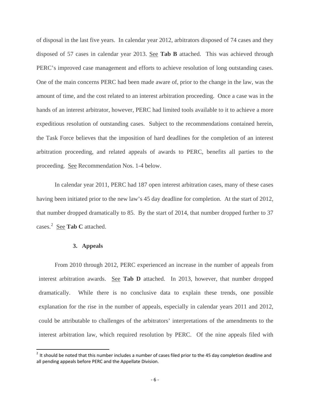of disposal in the last five years. In calendar year 2012, arbitrators disposed of 74 cases and they disposed of 57 cases in calendar year 2013. See **Tab B** attached. This was achieved through PERC's improved case management and efforts to achieve resolution of long outstanding cases. One of the main concerns PERC had been made aware of, prior to the change in the law, was the amount of time, and the cost related to an interest arbitration proceeding. Once a case was in the hands of an interest arbitrator, however, PERC had limited tools available to it to achieve a more expeditious resolution of outstanding cases. Subject to the recommendations contained herein, the Task Force believes that the imposition of hard deadlines for the completion of an interest arbitration proceeding, and related appeals of awards to PERC, benefits all parties to the proceeding. See Recommendation Nos. 1-4 below.

In calendar year 2011, PERC had 187 open interest arbitration cases, many of these cases having been initiated prior to the new law's 45 day deadline for completion. At the start of 2012, that number dropped dramatically to 85. By the start of 2014, that number dropped further to 37 cases. [2](#page-6-0) See **Tab C** attached.

#### **3. Appeals**

From 2010 through 2012, PERC experienced an increase in the number of appeals from interest arbitration awards. See **Tab D** attached. In 2013, however, that number dropped dramatically. While there is no conclusive data to explain these trends, one possible explanation for the rise in the number of appeals, especially in calendar years 2011 and 2012, could be attributable to challenges of the arbitrators' interpretations of the amendments to the interest arbitration law, which required resolution by PERC. Of the nine appeals filed with

<span id="page-6-0"></span> $2$  It should be noted that this number includes a number of cases filed prior to the 45 day completion deadline and all pending appeals before PERC and the Appellate Division.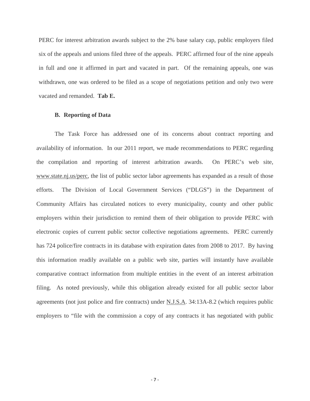PERC for interest arbitration awards subject to the 2% base salary cap, public employers filed six of the appeals and unions filed three of the appeals. PERC affirmed four of the nine appeals in full and one it affirmed in part and vacated in part. Of the remaining appeals, one was withdrawn, one was ordered to be filed as a scope of negotiations petition and only two were vacated and remanded. **Tab E.** 

#### **B. Reporting of Data**

The Task Force has addressed one of its concerns about contract reporting and availability of information. In our 2011 report, we made recommendations to PERC regarding the compilation and reporting of interest arbitration awards. On PERC's web site, www.state.nj.us/perc, the list of public sector labor agreements has expanded as a result of those efforts. The Division of Local Government Services ("DLGS") in the Department of Community Affairs has circulated notices to every municipality, county and other public employers within their jurisdiction to remind them of their obligation to provide PERC with electronic copies of current public sector collective negotiations agreements. PERC currently has 724 police/fire contracts in its database with expiration dates from 2008 to 2017. By having this information readily available on a public web site, parties will instantly have available comparative contract information from multiple entities in the event of an interest arbitration filing. As noted previously, while this obligation already existed for all public sector labor agreements (not just police and fire contracts) under N.J.S.A. 34:13A-8.2 (which requires public employers to "file with the commission a copy of any contracts it has negotiated with public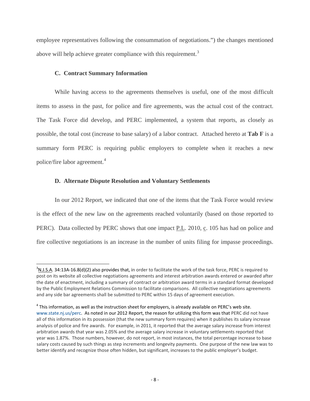employee representatives following the consummation of negotiations.") the changes mentioned above will help achieve greater compliance with this requirement.<sup>[3](#page-8-0)</sup>

#### **C. Contract Summary Information**

While having access to the agreements themselves is useful, one of the most difficult items to assess in the past, for police and fire agreements, was the actual cost of the contract. The Task Force did develop, and PERC implemented, a system that reports, as closely as possible, the total cost (increase to base salary) of a labor contract. Attached hereto at **Tab F** is a summary form PERC is requiring public employers to complete when it reaches a new police/fire labor agreement.<sup>[4](#page-8-1)</sup>

#### **D. Alternate Dispute Resolution and Voluntary Settlements**

In our 2012 Report, we indicated that one of the items that the Task Force would review is the effect of the new law on the agreements reached voluntarily (based on those reported to PERC). Data collected by PERC shows that one impact P.L. 2010, c. 105 has had on police and fire collective negotiations is an increase in the number of units filing for impasse proceedings.

<span id="page-8-0"></span>  $^3$ N.J.S.A. 34:13A-16.8(d)(2) also provides that, in order to facilitate the work of the task force, PERC is required to post on its website all collective negotiations agreements and interest arbitration awards entered or awarded after the date of enactment, including a summary of contract or arbitration award terms in a standard format developed by the Public Employment Relations Commission to facilitate comparisons. All collective negotiations agreements and any side bar agreements shall be submitted to PERC within 15 days of agreement execution.

<span id="page-8-1"></span> $4$  This information, as well as the instruction sheet for employers, is already available on PERC's web site. [www.state.nj.us/perc](http://www.state.nj.us/perc). As noted in our 2012 Report, the reason for utilizing this form was that PERC did not have all of this information in its possession (that the new summary form requires) when it publishes its salary increase analysis of police and fire awards. For example, in 2011, it reported that the average salary increase from interest arbitration awards that year was 2.05% and the average salary increase in voluntary settlements reported that year was 1.87%. Those numbers, however, do not report, in most instances, the total percentage increase to base salary costs caused by such things as step increments and longevity payments. One purpose of the new law was to better identify and recognize those often hidden, but significant, increases to the public employer's budget.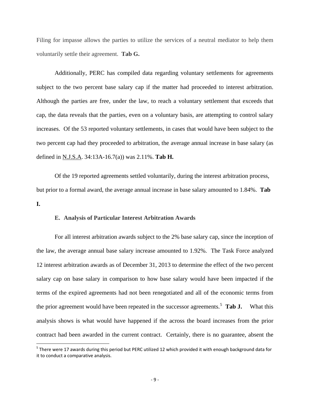Filing for impasse allows the parties to utilize the services of a neutral mediator to help them voluntarily settle their agreement. **Tab G.** 

Additionally, PERC has compiled data regarding voluntary settlements for agreements subject to the two percent base salary cap if the matter had proceeded to interest arbitration. Although the parties are free, under the law, to reach a voluntary settlement that exceeds that cap, the data reveals that the parties, even on a voluntary basis, are attempting to control salary increases. Of the 53 reported voluntary settlements, in cases that would have been subject to the two percent cap had they proceeded to arbitration, the average annual increase in base salary (as defined in N.J.S.A. 34:13A-16.7(a)) was 2.11%. **Tab H.** 

 Of the 19 reported agreements settled voluntarily, during the interest arbitration process, but prior to a formal award, the average annual increase in base salary amounted to 1.84%. **Tab I.** 

#### **E. Analysis of Particular Interest Arbitration Awards**

For all interest arbitration awards subject to the 2% base salary cap, since the inception of the law, the average annual base salary increase amounted to 1.92%. The Task Force analyzed 12 interest arbitration awards as of December 31, 2013 to determine the effect of the two percent salary cap on base salary in comparison to how base salary would have been impacted if the terms of the expired agreements had not been renegotiated and all of the economic terms from the prior agreement would have been repeated in the successor agreements.<sup>[5](#page-9-0)</sup> Tab J. **What this** analysis shows is what would have happened if the across the board increases from the prior contract had been awarded in the current contract. Certainly, there is no guarantee, absent the

<span id="page-9-0"></span> $^5$  There were 17 awards during this period but PERC utilized 12 which provided it with enough background data for it to conduct a comparative analysis.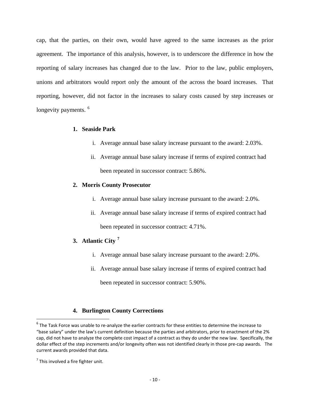cap, that the parties, on their own, would have agreed to the same increases as the prior agreement. The importance of this analysis, however, is to underscore the difference in how the reporting of salary increases has changed due to the law. Prior to the law, public employers, unions and arbitrators would report only the amount of the across the board increases. That reporting, however, did not factor in the increases to salary costs caused by step increases or longevity payments.<sup>[6](#page-10-0)</sup>

#### **1. Seaside Park**

- i. Average annual base salary increase pursuant to the award: 2.03%.
- ii. Average annual base salary increase if terms of expired contract had been repeated in successor contract: 5.86%.

#### **2. Morris County Prosecutor**

- i. Average annual base salary increase pursuant to the award: 2.0%.
- ii. Average annual base salary increase if terms of expired contract had been repeated in successor contract: 4.71%.

#### **3. Atlantic City [7](#page-10-1)**

- i. Average annual base salary increase pursuant to the award: 2.0%.
- ii. Average annual base salary increase if terms of expired contract had been repeated in successor contract: 5.90%.

#### **4. Burlington County Corrections**

<span id="page-10-0"></span><sup>&</sup>lt;sup>6</sup> The Task Force was unable to re-analyze the earlier contracts for these entities to determine the increase to "base salary" under the law's current definition because the parties and arbitrators, prior to enactment of the 2% cap, did not have to analyze the complete cost impact of a contract as they do under the new law. Specifically, the dollar effect of the step increments and/or longevity often was not identified clearly in those pre‐cap awards. The current awards provided that data.

<span id="page-10-1"></span> $<sup>7</sup>$  This involved a fire fighter unit.</sup>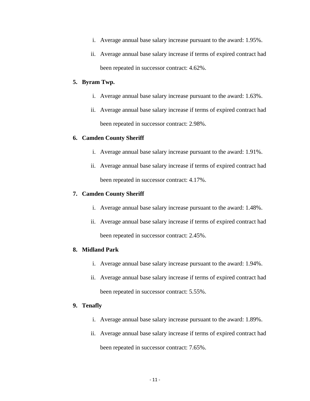- i. Average annual base salary increase pursuant to the award: 1.95%.
- ii. Average annual base salary increase if terms of expired contract had been repeated in successor contract: 4.62%.

#### **5. Byram Twp.**

- i. Average annual base salary increase pursuant to the award: 1.63%.
- ii. Average annual base salary increase if terms of expired contract had been repeated in successor contract: 2.98%.

#### **6. Camden County Sheriff**

- i. Average annual base salary increase pursuant to the award: 1.91%.
- ii. Average annual base salary increase if terms of expired contract had been repeated in successor contract: 4.17%.

#### **7. Camden County Sheriff**

- i. Average annual base salary increase pursuant to the award: 1.48%.
- ii. Average annual base salary increase if terms of expired contract had been repeated in successor contract: 2.45%.

#### **8. Midland Park**

- i. Average annual base salary increase pursuant to the award: 1.94%.
- ii. Average annual base salary increase if terms of expired contract had been repeated in successor contract: 5.55%.

#### **9. Tenafly**

- i. Average annual base salary increase pursuant to the award: 1.89%.
- ii. Average annual base salary increase if terms of expired contract had been repeated in successor contract: 7.65%.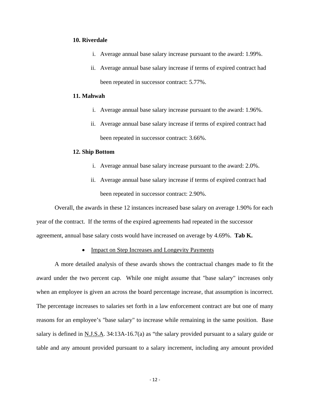#### **10. Riverdale**

- i. Average annual base salary increase pursuant to the award: 1.99%.
- ii. Average annual base salary increase if terms of expired contract had been repeated in successor contract: 5.77%.

#### **11. Mahwah**

- i. Average annual base salary increase pursuant to the award: 1.96%.
- ii. Average annual base salary increase if terms of expired contract had been repeated in successor contract: 3.66%.

#### **12. Ship Bottom**

- i. Average annual base salary increase pursuant to the award: 2.0%.
- ii. Average annual base salary increase if terms of expired contract had been repeated in successor contract: 2.90%.

Overall, the awards in these 12 instances increased base salary on average 1.90% for each year of the contract. If the terms of the expired agreements had repeated in the successor agreement, annual base salary costs would have increased on average by 4.69%. **Tab K.** 

• Impact on Step Increases and Longevity Payments

A more detailed analysis of these awards shows the contractual changes made to fit the award under the two percent cap. While one might assume that "base salary" increases only when an employee is given an across the board percentage increase, that assumption is incorrect. The percentage increases to salaries set forth in a law enforcement contract are but one of many reasons for an employee's "base salary" to increase while remaining in the same position. Base salary is defined in N.J.S.A. 34:13A-16.7(a) as "the salary provided pursuant to a salary guide or table and any amount provided pursuant to a salary increment, including any amount provided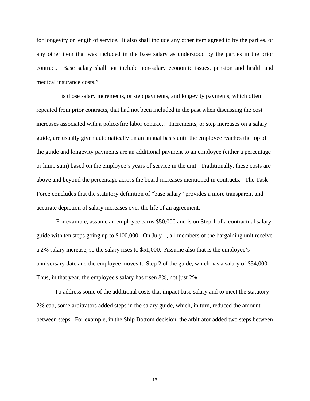for longevity or length of service. It also shall include any other item agreed to by the parties, or any other item that was included in the base salary as understood by the parties in the prior contract. Base salary shall not include non-salary economic issues, pension and health and medical insurance costs."

 It is those salary increments, or step payments, and longevity payments, which often repeated from prior contracts, that had not been included in the past when discussing the cost increases associated with a police/fire labor contract. Increments, or step increases on a salary guide, are usually given automatically on an annual basis until the employee reaches the top of the guide and longevity payments are an additional payment to an employee (either a percentage or lump sum) based on the employee's years of service in the unit. Traditionally, these costs are above and beyond the percentage across the board increases mentioned in contracts. The Task Force concludes that the statutory definition of "base salary" provides a more transparent and accurate depiction of salary increases over the life of an agreement.

 For example, assume an employee earns \$50,000 and is on Step 1 of a contractual salary guide with ten steps going up to \$100,000. On July 1, all members of the bargaining unit receive a 2% salary increase, so the salary rises to \$51,000. Assume also that is the employee's anniversary date and the employee moves to Step 2 of the guide, which has a salary of \$54,000. Thus, in that year, the employee's salary has risen 8%, not just 2%.

To address some of the additional costs that impact base salary and to meet the statutory 2% cap, some arbitrators added steps in the salary guide, which, in turn, reduced the amount between steps. For example, in the **Ship Bottom** decision, the arbitrator added two steps between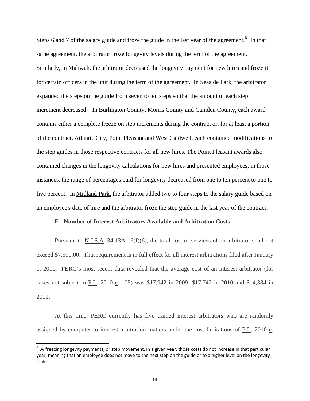Steps 6 and 7 of the salary guide and froze the guide in the last year of the agreement.<sup>[8](#page-14-0)</sup> In that same agreement, the arbitrator froze longevity levels during the term of the agreement. Similarly, in Mahwah, the arbitrator decreased the longevity payment for new hires and froze it for certain officers in the unit during the term of the agreement. In Seaside Park, the arbitrator expanded the steps on the guide from seven to ten steps so that the amount of each step increment decreased. In Burlington County, Morris County and Camden County, each award contains either a complete freeze on step increments during the contract or, for at least a portion of the contract. Atlantic City, Point Pleasant and West Caldwell, each contained modifications to the step guides in those respective contracts for all new hires. The Point Pleasant awards also contained changes in the longevity calculations for new hires and presented employees, in those instances, the range of percentages paid for longevity decreased from one to ten percent to one to five percent. In Midland Park, the arbitrator added two to four steps to the salary guide based on an employee's date of hire and the arbitrator froze the step guide in the last year of the contract.

#### **F. Number of Interest Arbitrators Available and Arbitration Costs**

Pursuant to N.J.S.A. 34:13A-16(f)(6), the total cost of services of an arbitrator shall not exceed \$7,500.00. That requirement is in full effect for all interest arbitrations filed after January 1, 2011. PERC's most recent data revealed that the average cost of an interest arbitrator (for cases not subject to P.L. 2010 c. 105) was \$17,942 in 2009; \$17,742 in 2010 and \$14,384 in 2011.

At this time, PERC currently has five trained interest arbitrators who are randomly assigned by computer to interest arbitration matters under the cost limitations of P.L. 2010 c.

<span id="page-14-0"></span> $8$  By freezing longevity payments, or step movement, in a given year, those costs do not increase in that particular year, meaning that an employee does not move to the next step on the guide or to a higher level on the longevity scale.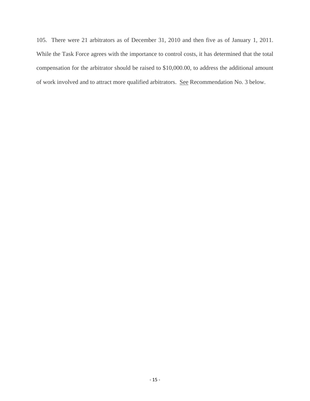105. There were 21 arbitrators as of December 31, 2010 and then five as of January 1, 2011. While the Task Force agrees with the importance to control costs, it has determined that the total compensation for the arbitrator should be raised to \$10,000.00, to address the additional amount of work involved and to attract more qualified arbitrators. See Recommendation No. 3 below.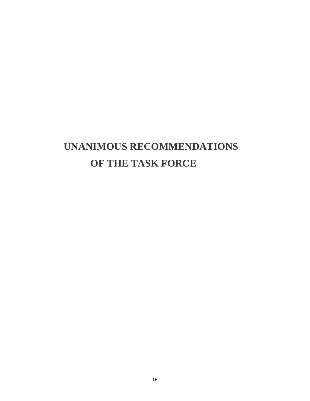# **UNANIMOUS RECOMMENDATIONS OF THE TASK FORCE**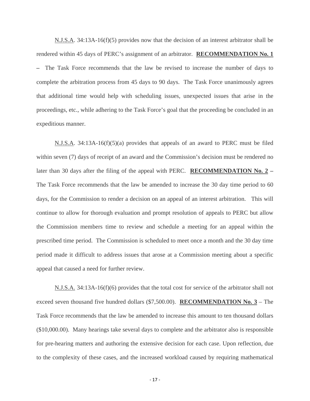N.J.S.A. 34:13A-16(f)(5) provides now that the decision of an interest arbitrator shall be rendered within 45 days of PERC's assignment of an arbitrator. **RECOMMENDATION No. 1** The Task Force recommends that the law be revised to increase the number of days to complete the arbitration process from 45 days to 90 days. The Task Force unanimously agrees that additional time would help with scheduling issues, unexpected issues that arise in the proceedings, etc., while adhering to the Task Force's goal that the proceeding be concluded in an expeditious manner.

 $N.J.S.A. 34:13A-16(f)(5)(a)$  provides that appeals of an award to PERC must be filed within seven (7) days of receipt of an award and the Commission's decision must be rendered no later than 30 days after the filing of the appeal with PERC. **RECOMMENDATION No. 2 –**  The Task Force recommends that the law be amended to increase the 30 day time period to 60 days, for the Commission to render a decision on an appeal of an interest arbitration. This will continue to allow for thorough evaluation and prompt resolution of appeals to PERC but allow the Commission members time to review and schedule a meeting for an appeal within the prescribed time period. The Commission is scheduled to meet once a month and the 30 day time period made it difficult to address issues that arose at a Commission meeting about a specific appeal that caused a need for further review.

N.J.S.A. 34:13A-16(f)(6) provides that the total cost for service of the arbitrator shall not exceed seven thousand five hundred dollars (\$7,500.00). **RECOMMENDATION No. 3** – The Task Force recommends that the law be amended to increase this amount to ten thousand dollars (\$10,000.00). Many hearings take several days to complete and the arbitrator also is responsible for pre-hearing matters and authoring the extensive decision for each case. Upon reflection, due to the complexity of these cases, and the increased workload caused by requiring mathematical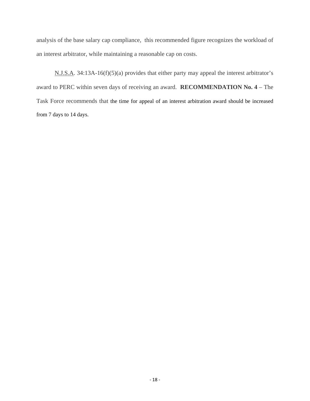analysis of the base salary cap compliance, this recommended figure recognizes the workload of an interest arbitrator, while maintaining a reasonable cap on costs.

N.J.S.A. 34:13A-16(f)(5)(a) provides that either party may appeal the interest arbitrator's award to PERC within seven days of receiving an award. **RECOMMENDATION No. 4** – The Task Force recommends that the time for appeal of an interest arbitration award should be increased from 7 days to 14 days.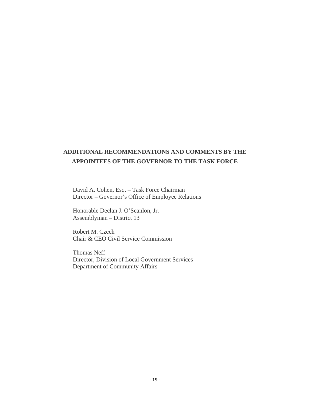#### **ADDITIONAL RECOMMENDATIONS AND COMMENTS BY THE APPOINTEES OF THE GOVERNOR TO THE TASK FORCE**

David A. Cohen, Esq. – Task Force Chairman Director – Governor's Office of Employee Relations

Honorable Declan J. O'Scanlon, Jr. Assemblyman – District 13

Robert M. Czech Chair & CEO Civil Service Commission

Thomas Neff Director, Division of Local Government Services Department of Community Affairs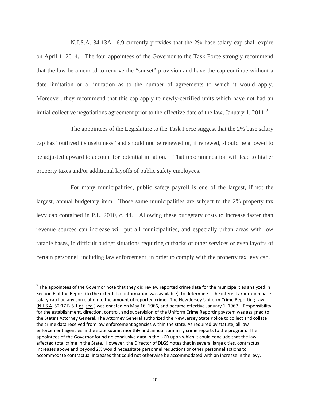N.J.S.A. 34:13A-16.9 currently provides that the 2% base salary cap shall expire on April 1, 2014. The four appointees of the Governor to the Task Force strongly recommend that the law be amended to remove the "sunset" provision and have the cap continue without a date limitation or a limitation as to the number of agreements to which it would apply. Moreover, they recommend that this cap apply to newly-certified units which have not had an initial collective negotiations agreement prior to the effective date of the law, January 1, 2011.<sup>[9](#page-20-0)</sup>

The appointees of the Legislature to the Task Force suggest that the 2% base salary cap has "outlived its usefulness" and should not be renewed or, if renewed, should be allowed to be adjusted upward to account for potential inflation. That recommendation will lead to higher property taxes and/or additional layoffs of public safety employees.

For many municipalities, public safety payroll is one of the largest, if not the largest, annual budgetary item. Those same municipalities are subject to the 2% property tax levy cap contained in P.L. 2010, c. 44. Allowing these budgetary costs to increase faster than revenue sources can increase will put all municipalities, and especially urban areas with low ratable bases, in difficult budget situations requiring cutbacks of other services or even layoffs of certain personnel, including law enforcement, in order to comply with the property tax levy cap.

<span id="page-20-0"></span> $9$  The appointees of the Governor note that they did review reported crime data for the municipalities analyzed in Section E of the Report (to the extent that information was available), to determine if the interest arbitration base salary cap had any correlation to the amount of reported crime. The New Jersey Uniform Crime Reporting Law (N.J.S.A. 52:17 B‐5.1 et. seq.) was enacted on May 16, 1966, and became effective January 1, 1967. Responsibility for the establishment, direction, control, and supervision of the Uniform Crime Reporting system was assigned to the State's Attorney General. The Attorney General authorized the New Jersey State Police to collect and collate the crime data received from law enforcement agencies within the state. As required by statute, all law enforcement agencies in the state submit monthly and annual summary crime reports to the program. The appointees of the Governor found no conclusive data in the UCR upon which it could conclude that the law affected total crime in the State. However, the Director of DLGS notes that in several large cities, contractual increases above and beyond 2% would necessitate personnel reductions or other personnel actions to accommodate contractual increases that could not otherwise be accommodated with an increase in the levy.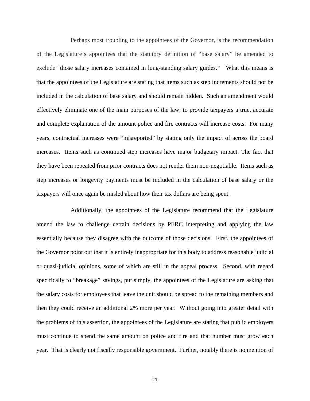Perhaps most troubling to the appointees of the Governor, is the recommendation of the Legislature's appointees that the statutory definition of "base salary" be amended to exclude "those salary increases contained in long-standing salary guides." What this means is that the appointees of the Legislature are stating that items such as step increments should not be included in the calculation of base salary and should remain hidden. Such an amendment would effectively eliminate one of the main purposes of the law; to provide taxpayers a true, accurate and complete explanation of the amount police and fire contracts will increase costs. For many years, contractual increases were "misreported" by stating only the impact of across the board increases. Items such as continued step increases have major budgetary impact. The fact that they have been repeated from prior contracts does not render them non-negotiable. Items such as step increases or longevity payments must be included in the calculation of base salary or the taxpayers will once again be misled about how their tax dollars are being spent.

Additionally, the appointees of the Legislature recommend that the Legislature amend the law to challenge certain decisions by PERC interpreting and applying the law essentially because they disagree with the outcome of those decisions. First, the appointees of the Governor point out that it is entirely inappropriate for this body to address reasonable judicial or quasi-judicial opinions, some of which are still in the appeal process. Second, with regard specifically to "breakage" savings, put simply, the appointees of the Legislature are asking that the salary costs for employees that leave the unit should be spread to the remaining members and then they could receive an additional 2% more per year. Without going into greater detail with the problems of this assertion, the appointees of the Legislature are stating that public employers must continue to spend the same amount on police and fire and that number must grow each year. That is clearly not fiscally responsible government. Further, notably there is no mention of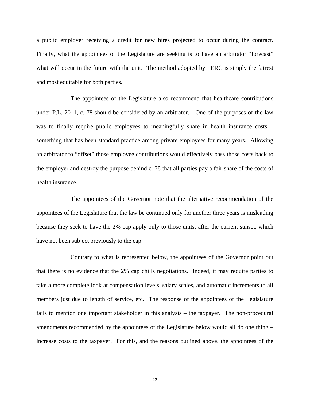a public employer receiving a credit for new hires projected to occur during the contract. Finally, what the appointees of the Legislature are seeking is to have an arbitrator "forecast" what will occur in the future with the unit. The method adopted by PERC is simply the fairest and most equitable for both parties.

The appointees of the Legislature also recommend that healthcare contributions under P.L. 2011, c. 78 should be considered by an arbitrator. One of the purposes of the law was to finally require public employees to meaningfully share in health insurance costs – something that has been standard practice among private employees for many years. Allowing an arbitrator to "offset" those employee contributions would effectively pass those costs back to the employer and destroy the purpose behind  $c$ . 78 that all parties pay a fair share of the costs of health insurance.

The appointees of the Governor note that the alternative recommendation of the appointees of the Legislature that the law be continued only for another three years is misleading because they seek to have the 2% cap apply only to those units, after the current sunset, which have not been subject previously to the cap.

Contrary to what is represented below, the appointees of the Governor point out that there is no evidence that the 2% cap chills negotiations. Indeed, it may require parties to take a more complete look at compensation levels, salary scales, and automatic increments to all members just due to length of service, etc. The response of the appointees of the Legislature fails to mention one important stakeholder in this analysis – the taxpayer. The non-procedural amendments recommended by the appointees of the Legislature below would all do one thing – increase costs to the taxpayer. For this, and the reasons outlined above, the appointees of the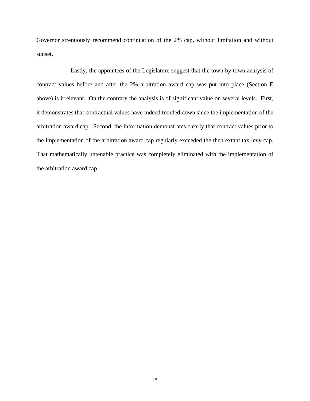Governor strenuously recommend continuation of the 2% cap, without limitation and without sunset.

Lastly, the appointees of the Legislature suggest that the town by town analysis of contract values before and after the 2% arbitration award cap was put into place (Section E above) is irrelevant. On the contrary the analysis is of significant value on several levels. First, it demonstrates that contractual values have indeed trended down since the implementation of the arbitration award cap. Second, the information demonstrates clearly that contract values prior to the implementation of the arbitration award cap regularly exceeded the then extant tax levy cap. That mathematically untenable practice was completely eliminated with the implementation of the arbitration award cap.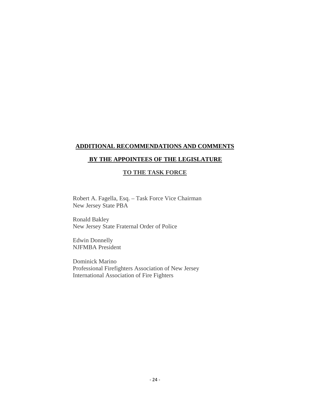#### **ADDITIONAL RECOMMENDATIONS AND COMMENTS**

#### **BY THE APPOINTEES OF THE LEGISLATURE**

#### **TO THE TASK FORCE**

Robert A. Fagella, Esq. – Task Force Vice Chairman New Jersey State PBA

Ronald Bakley New Jersey State Fraternal Order of Police

Edwin Donnelly NJFMBA President

Dominick Marino Professional Firefighters Association of New Jersey International Association of Fire Fighters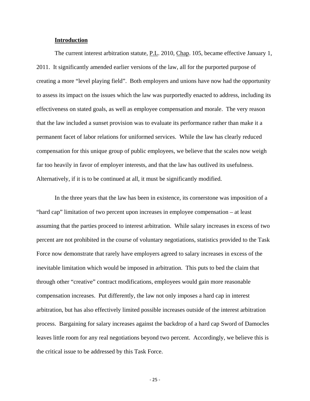#### **Introduction**

 The current interest arbitration statute, P.L. 2010, Chap. 105, became effective January 1, 2011. It significantly amended earlier versions of the law, all for the purported purpose of creating a more "level playing field". Both employers and unions have now had the opportunity to assess its impact on the issues which the law was purportedly enacted to address, including its effectiveness on stated goals, as well as employee compensation and morale. The very reason that the law included a sunset provision was to evaluate its performance rather than make it a permanent facet of labor relations for uniformed services. While the law has clearly reduced compensation for this unique group of public employees, we believe that the scales now weigh far too heavily in favor of employer interests, and that the law has outlived its usefulness. Alternatively, if it is to be continued at all, it must be significantly modified.

 In the three years that the law has been in existence, its cornerstone was imposition of a "hard cap" limitation of two percent upon increases in employee compensation – at least assuming that the parties proceed to interest arbitration. While salary increases in excess of two percent are not prohibited in the course of voluntary negotiations, statistics provided to the Task Force now demonstrate that rarely have employers agreed to salary increases in excess of the inevitable limitation which would be imposed in arbitration. This puts to bed the claim that through other "creative" contract modifications, employees would gain more reasonable compensation increases. Put differently, the law not only imposes a hard cap in interest arbitration, but has also effectively limited possible increases outside of the interest arbitration process. Bargaining for salary increases against the backdrop of a hard cap Sword of Damocles leaves little room for any real negotiations beyond two percent. Accordingly, we believe this is the critical issue to be addressed by this Task Force.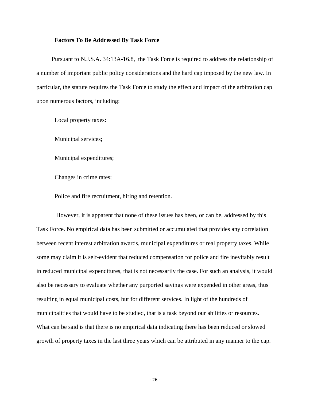#### **Factors To Be Addressed By Task Force**

Pursuant to N.J.S.A. 34:13A-16.8, the Task Force is required to address the relationship of a number of important public policy considerations and the hard cap imposed by the new law. In particular, the statute requires the Task Force to study the effect and impact of the arbitration cap upon numerous factors, including:

Local property taxes:

Municipal services;

Municipal expenditures;

Changes in crime rates;

Police and fire recruitment, hiring and retention.

 However, it is apparent that none of these issues has been, or can be, addressed by this Task Force. No empirical data has been submitted or accumulated that provides any correlation between recent interest arbitration awards, municipal expenditures or real property taxes. While some may claim it is self-evident that reduced compensation for police and fire inevitably result in reduced municipal expenditures, that is not necessarily the case. For such an analysis, it would also be necessary to evaluate whether any purported savings were expended in other areas, thus resulting in equal municipal costs, but for different services. In light of the hundreds of municipalities that would have to be studied, that is a task beyond our abilities or resources. What can be said is that there is no empirical data indicating there has been reduced or slowed growth of property taxes in the last three years which can be attributed in any manner to the cap.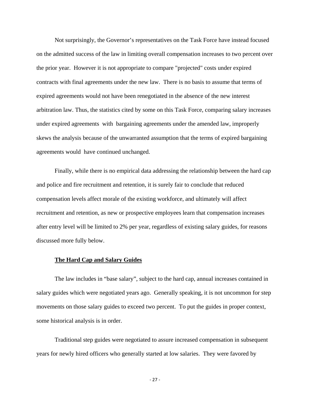Not surprisingly, the Governor's representatives on the Task Force have instead focused on the admitted success of the law in limiting overall compensation increases to two percent over the prior year. However it is not appropriate to compare "projected" costs under expired contracts with final agreements under the new law. There is no basis to assume that terms of expired agreements would not have been renegotiated in the absence of the new interest arbitration law. Thus, the statistics cited by some on this Task Force, comparing salary increases under expired agreements with bargaining agreements under the amended law, improperly skews the analysis because of the unwarranted assumption that the terms of expired bargaining agreements would have continued unchanged.

 Finally, while there is no empirical data addressing the relationship between the hard cap and police and fire recruitment and retention, it is surely fair to conclude that reduced compensation levels affect morale of the existing workforce, and ultimately will affect recruitment and retention, as new or prospective employees learn that compensation increases after entry level will be limited to 2% per year, regardless of existing salary guides, for reasons discussed more fully below.

#### **The Hard Cap and Salary Guides**

The law includes in "base salary", subject to the hard cap, annual increases contained in salary guides which were negotiated years ago. Generally speaking, it is not uncommon for step movements on those salary guides to exceed two percent. To put the guides in proper context, some historical analysis is in order.

Traditional step guides were negotiated to assure increased compensation in subsequent years for newly hired officers who generally started at low salaries. They were favored by

 $-27$  –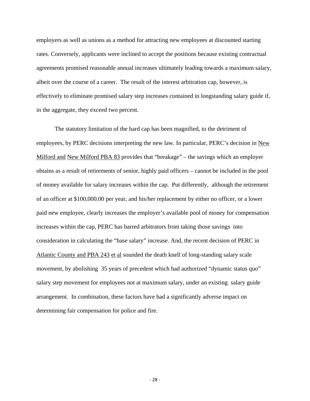employers as well as unions as a method for attracting new employees at discounted starting rates. Conversely, applicants were inclined to accept the positions because existing contractual agreements promised reasonable annual increases ultimately leading towards a maximum salary, albeit over the course of a career. The result of the interest arbitration cap, however, is effectively to eliminate promised salary step increases contained in longstanding salary guide if, in the aggregate, they exceed two percent.

 The statutory limitation of the hard cap has been magnified, to the detriment of employees, by PERC decisions interpreting the new law. In particular, PERC's decision in New Milford and New Milford PBA 83 provides that "breakage" – the savings which an employer obtains as a result of retirements of senior, highly paid officers – cannot be included in the pool of money available for salary increases within the cap. Put differently, although the retirement of an officer at \$100,000.00 per year, and his/her replacement by either no officer, or a lower paid new employee, clearly increases the employer's available pool of money for compensation increases within the cap, PERC has barred arbitrators from taking those savings into consideration in calculating the "base salary" increase. And, the recent decision of PERC in Atlantic County and PBA 243 et al sounded the death knell of long-standing salary scale movement, by abolishing 35 years of precedent which had authorized "dynamic status quo" salary step movement for employees not at maximum salary, under an existing salary guide arrangement. In combination, these factors have had a significantly adverse impact on determining fair compensation for police and fire.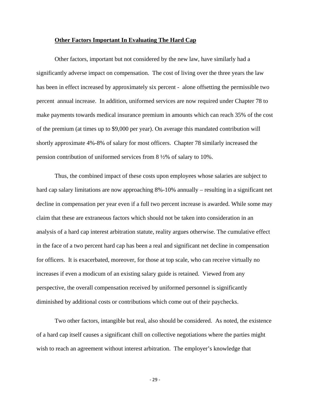#### **Other Factors Important In Evaluating The Hard Cap**

 Other factors, important but not considered by the new law, have similarly had a significantly adverse impact on compensation. The cost of living over the three years the law has been in effect increased by approximately six percent - alone offsetting the permissible two percent annual increase. In addition, uniformed services are now required under Chapter 78 to make payments towards medical insurance premium in amounts which can reach 35% of the cost of the premium (at times up to \$9,000 per year). On average this mandated contribution will shortly approximate 4%-8% of salary for most officers. Chapter 78 similarly increased the pension contribution of uniformed services from 8 ½% of salary to 10%.

 Thus, the combined impact of these costs upon employees whose salaries are subject to hard cap salary limitations are now approaching 8%-10% annually – resulting in a significant net decline in compensation per year even if a full two percent increase is awarded. While some may claim that these are extraneous factors which should not be taken into consideration in an analysis of a hard cap interest arbitration statute, reality argues otherwise. The cumulative effect in the face of a two percent hard cap has been a real and significant net decline in compensation for officers. It is exacerbated, moreover, for those at top scale, who can receive virtually no increases if even a modicum of an existing salary guide is retained. Viewed from any perspective, the overall compensation received by uniformed personnel is significantly diminished by additional costs or contributions which come out of their paychecks.

 Two other factors, intangible but real, also should be considered. As noted, the existence of a hard cap itself causes a significant chill on collective negotiations where the parties might wish to reach an agreement without interest arbitration. The employer's knowledge that

 $-29 -$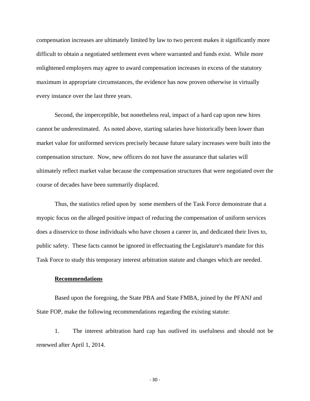compensation increases are ultimately limited by law to two percent makes it significantly more difficult to obtain a negotiated settlement even where warranted and funds exist. While more enlightened employers may agree to award compensation increases in excess of the statutory maximum in appropriate circumstances, the evidence has now proven otherwise in virtually every instance over the last three years.

 Second, the imperceptible, but nonetheless real, impact of a hard cap upon new hires cannot be underestimated. As noted above, starting salaries have historically been lower than market value for uniformed services precisely because future salary increases were built into the compensation structure. Now, new officers do not have the assurance that salaries will ultimately reflect market value because the compensation structures that were negotiated over the course of decades have been summarily displaced.

Thus, the statistics relied upon by some members of the Task Force demonstrate that a myopic focus on the alleged positive impact of reducing the compensation of uniform services does a disservice to those individuals who have chosen a career in, and dedicated their lives to, public safety. These facts cannot be ignored in effectuating the Legislature's mandate for this Task Force to study this temporary interest arbitration statute and changes which are needed.

#### **Recommendations**

Based upon the foregoing, the State PBA and State FMBA, joined by the PFANJ and State FOP, make the following recommendations regarding the existing statute:

1. The interest arbitration hard cap has outlived its usefulness and should not be renewed after April 1, 2014.

 $-30 -$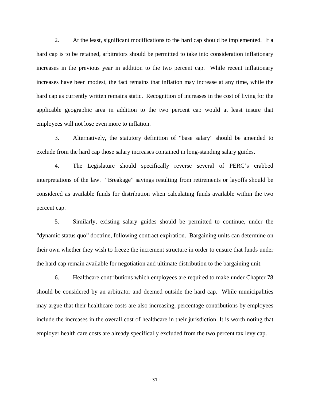2. At the least, significant modifications to the hard cap should be implemented. If a hard cap is to be retained, arbitrators should be permitted to take into consideration inflationary increases in the previous year in addition to the two percent cap. While recent inflationary increases have been modest, the fact remains that inflation may increase at any time, while the hard cap as currently written remains static. Recognition of increases in the cost of living for the applicable geographic area in addition to the two percent cap would at least insure that employees will not lose even more to inflation.

3. Alternatively, the statutory definition of "base salary" should be amended to exclude from the hard cap those salary increases contained in long-standing salary guides.

4. The Legislature should specifically reverse several of PERC's crabbed interpretations of the law. "Breakage" savings resulting from retirements or layoffs should be considered as available funds for distribution when calculating funds available within the two percent cap.

5. Similarly, existing salary guides should be permitted to continue, under the "dynamic status quo" doctrine, following contract expiration. Bargaining units can determine on their own whether they wish to freeze the increment structure in order to ensure that funds under the hard cap remain available for negotiation and ultimate distribution to the bargaining unit.

6. Healthcare contributions which employees are required to make under Chapter 78 should be considered by an arbitrator and deemed outside the hard cap. While municipalities may argue that their healthcare costs are also increasing, percentage contributions by employees include the increases in the overall cost of healthcare in their jurisdiction. It is worth noting that employer health care costs are already specifically excluded from the two percent tax levy cap.

 $-31 -$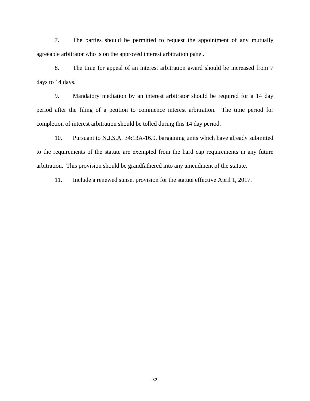7. The parties should be permitted to request the appointment of any mutually agreeable arbitrator who is on the approved interest arbitration panel.

8. The time for appeal of an interest arbitration award should be increased from 7 days to 14 days.

9. Mandatory mediation by an interest arbitrator should be required for a 14 day period after the filing of a petition to commence interest arbitration. The time period for completion of interest arbitration should be tolled during this 14 day period.

10. Pursuant to N.J.S.A. 34:13A-16.9, bargaining units which have already submitted to the requirements of the statute are exempted from the hard cap requirements in any future arbitration. This provision should be grandfathered into any amendment of the statute.

11. Include a renewed sunset provision for the statute effective April 1, 2017.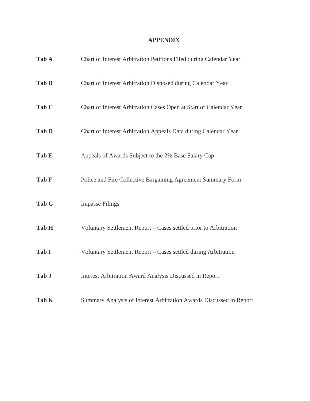#### **APPENDIX**

| Tab A        | Chart of Interest Arbitration Petitions Filed during Calendar Year  |
|--------------|---------------------------------------------------------------------|
| Tab B        | Chart of Interest Arbitration Disposed during Calendar Year         |
| Tab C        | Chart of Interest Arbitration Cases Open at Start of Calendar Year  |
| <b>Tab D</b> | Chart of Interest Arbitration Appeals Data during Calendar Year     |
| Tab E        | Appeals of Awards Subject to the 2% Base Salary Cap                 |
| Tab F        | Police and Fire Collective Bargaining Agreement Summary Form        |
| Tab G        | <b>Impasse Filings</b>                                              |
| Tab H        | Voluntary Settlement Report – Cases settled prior to Arbitration    |
| Tab I        | Voluntary Settlement Report - Cases settled during Arbitration      |
| Tab J        | Interest Arbitration Award Analysis Discussed in Report             |
| Tab K        | Summary Analysis of Interest Arbitration Awards Discussed in Report |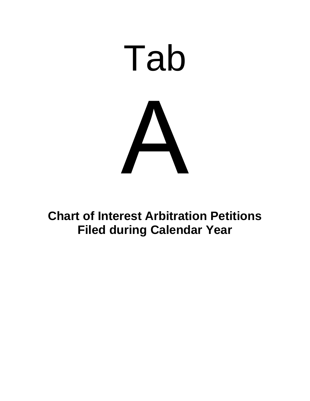

**Chart of Interest Arbitration Petitions Filed during Calendar Year**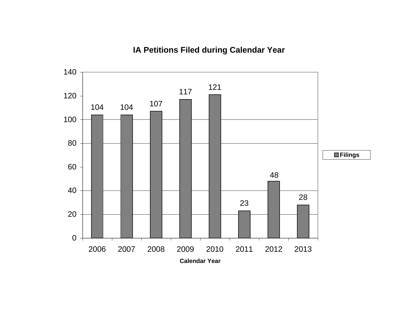# **IA Petitions Filed during Calendar Year**

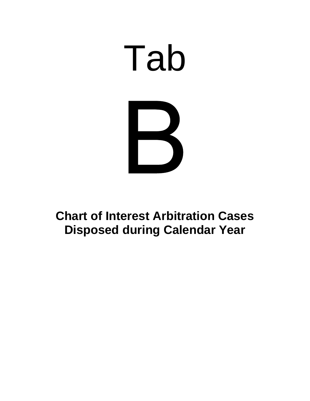

# **Chart of Interest Arbitration Cases Disposed during Calendar Year**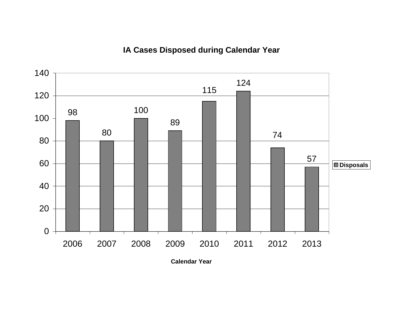# **IA Cases Disposed during Calendar Year**



**Calendar Year**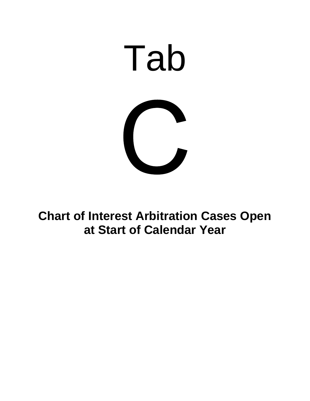

**Chart of Interest Arbitration Cases Open at Start of Calendar Year**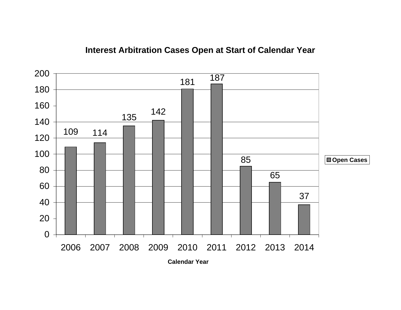

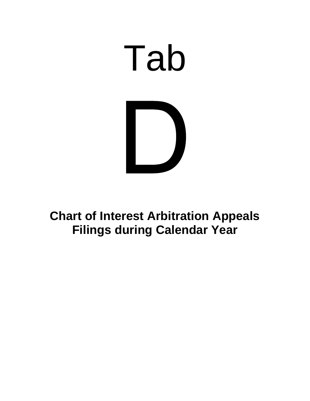

# **Chart of Interest Arbitration Appeals Filings during Calendar Year**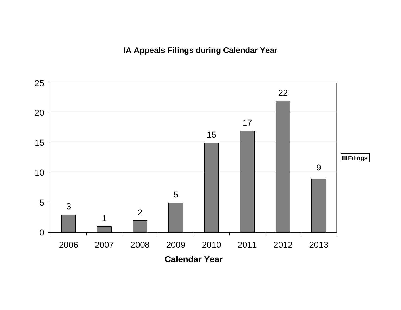**IA Appeals Filings during Calendar Year** 

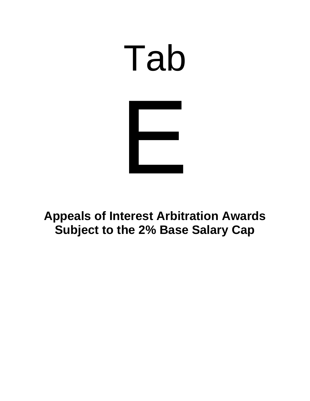

**Appeals of Interest Arbitration Awards Subject to the 2% Base Salary Cap**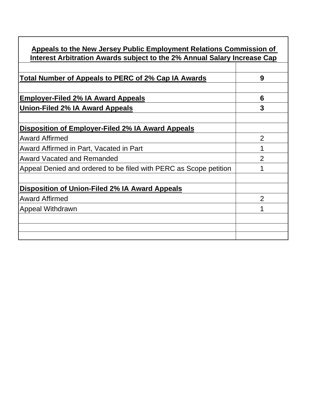| Appeals to the New Jersey Public Employment Relations Commission of      |                |
|--------------------------------------------------------------------------|----------------|
| Interest Arbitration Awards subject to the 2% Annual Salary Increase Cap |                |
| Total Number of Appeals to PERC of 2% Cap IA Awards                      | 9              |
| <b>Employer-Filed 2% IA Award Appeals</b>                                | 6              |
| Union-Filed 2% IA Award Appeals                                          | 3              |
| Disposition of Employer-Filed 2% IA Award Appeals                        |                |
| <b>Award Affirmed</b>                                                    | $\overline{2}$ |
| Award Affirmed in Part, Vacated in Part                                  |                |
| <b>Award Vacated and Remanded</b>                                        | 2              |
| Appeal Denied and ordered to be filed with PERC as Scope petition        |                |
| <b>Disposition of Union-Filed 2% IA Award Appeals</b>                    |                |
| <b>Award Affirmed</b>                                                    | $\overline{2}$ |
| Appeal Withdrawn                                                         |                |
|                                                                          |                |
|                                                                          |                |
|                                                                          |                |

٦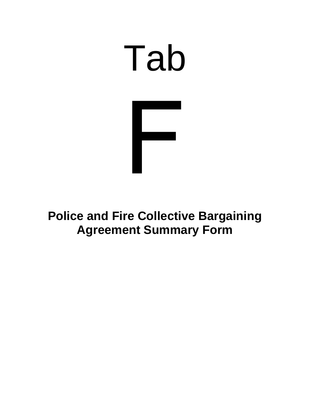

# **Police and Fire Collective Bargaining Agreement Summary Form**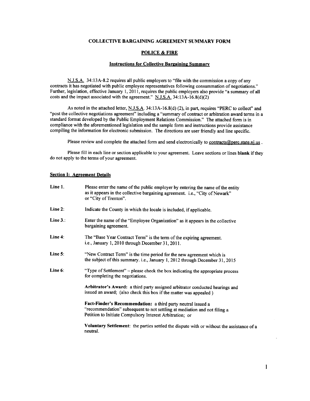#### **COLLECTIVE BARGAINING AGREEMENT SUMMARY FORM**

#### **POLICE & FIRE**

#### **Instructions for Collective Bargaining Summary**

N.J.S.A. 34:13A-8.2 requires all public employers to "file with the commission a copy of any contracts it has negotiated with public employee representatives following consummation of negotiations." Further, legislation, effective January 1, 2011, requires the public employers also provide "a summary of all costs and the impact associated with the agreement." N.J.S.A. 34:13A-16.8(d)(2)

As noted in the attached letter, N.J.S.A. 34:13A-16.8(d) (2), in part, requires "PERC to collect" and "post the collective negotiations agreement" including a "summary of contract or arbitration award terms in a standard format developed by the Public Employment Relations Commission." The attached form is in compliance with the aforementioned legislation and the sample form and instructions provide assistance compiling the information for electronic submission. The directions are user friendly and line specific.

Please review and complete the attached form and send electronically to contracts@perc.state.nj.us.

Please fill in each line or section applicable to your agreement. Leave sections or lines blank if they do not apply to the terms of your agreement.

#### **Section I: Agreement Details**

| Line 1.     | Please enter the name of the public employer by entering the name of the entity<br>as it appears in the collective bargaining agreement. i.e., "City of Newark"<br>or "City of Trenton".              |
|-------------|-------------------------------------------------------------------------------------------------------------------------------------------------------------------------------------------------------|
| Line 2:     | Indicate the County in which the locale is included, if applicable.                                                                                                                                   |
| Line $3$ .: | Enter the name of the "Employee Organization" as it appears in the collective<br>bargaining agreement.                                                                                                |
| Line 4:     | The "Base Year Contract Term" is the term of the expiring agreement.<br>i.e., January 1, 2010 through December 31, 2011.                                                                              |
| Line $5$ :  | "New Contract Term" is the time period for the new agreement which is<br>the subject of this summary. i.e., January 1, 2012 through December 31, 2015                                                 |
| Line 6:     | "Type of Settlement" - please check the box indicating the appropriate process<br>for completing the negotiations.                                                                                    |
|             | Arbitrator's Award: a third party assigned arbitrator conducted hearings and<br>issued an award; (also check this box if the matter was appealed)                                                     |
|             | Fact-Finder's Recommendation: a third party neutral issued a<br>"recommendation" subsequent to not settling at mediation and not filing a<br>Petition to Initiate Compulsory Interest Arbitration; or |
|             | Voluntary Settlement: the parties settled the dispute with or without the assistance of a<br>neutral.                                                                                                 |

 $\mathbf{1}$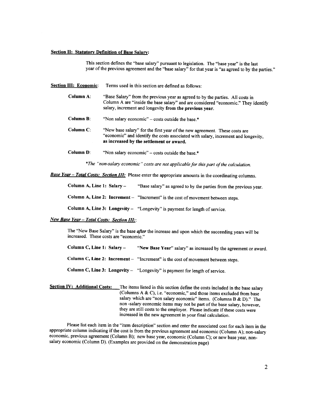#### **Section II: Statutory Definition of Base Salary:**

This section defines the "base salary" pursuant to legislation. The "base year" is the last year of the previous agreement and the "base salary" for that year is "as agreed to by the parties."

- **Section III: Economic:** Terms used in this section are defined as follows:
	- Column A: "Base Salary" from the previous year as agreed to by the parties. All costs in Column A are "inside the base salary" and are considered "economic." They identify salary, increment and longevity from the previous year.
	- **Column B:** "Non salary economic" – costs outside the base.\*
	- Column C: "New base salary" for the first year of the new agreement. These costs are "economic" and identify the costs associated with salary, increment and longevity, as increased by the settlement or award.
	- **Column D:** "Non salary economic" – costs outside the base.\*

\*The "non-salary economic" costs are not applicable for this part of the calculation.

**Base Year - Total Costs: Section III:** Please enter the appropriate amounts in the coordinating columns.

Column A, Line 1: Salary -"Base salary" as agreed to by the parties from the previous year.

Column A, Line 2: Increment  $-$  "Increment" is the cost of movement between steps.

Column A, Line 3: Longevity - "Longevity" is payment for length of service.

#### New Base Year - Total Costs: Section III:

The "New Base Salary" is the base *after* the increase and upon which the succeeding years will be increased. These costs are "economic."

Column C, Line 1: Salary -"New Base Year" salary" as increased by the agreement or award.

Column C, Line 2: Increment  $-$  "Increment" is the cost of movement between steps.

Column C, Line 3: Longevity - "Longevity" is payment for length of service.

**Section IV: Additional Costs:** The items listed in this section define the costs included in the base salary (Columns A & C), i.e. "economic," and those items excluded from base salary which are "non salary economic" items. (Columns B & D)." The non-salary economic items may not be part of the base salary, however. they are still costs to the employer. Please indicate if these costs were increased in the new agreement in your final calculation.

Please list each item in the "item description" section and enter the associated cost for each item in the appropriate column indicating if the cost is from the previous agreement and economic (Column A); non-salary economic, previous agreement (Column B); new base year, economic (Column C); or new base year, nonsalary economic (Column D). (Examples are provided on the demonstration page)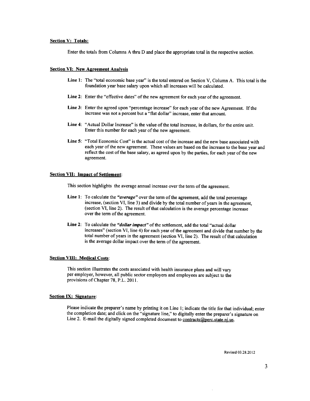#### **Section V: Totals:**

Enter the totals from Columns A thru D and place the appropriate total in the respective section.

#### **Section VI: New Agreement Analysis**

- Line 1: The "total economic base year" is the total entered on Section V, Column A. This total is the foundation year base salary upon which all increases will be calculated.
- Line 2: Enter the "effective dates" of the new agreement for each year of the agreement.
- Line 3: Enter the agreed upon "percentage increase" for each year of the new Agreement. If the increase was not a percent but a "flat dollar" increase, enter that amount.
- Line 4: "Actual Dollar Increase" is the value of the total increase, in dollars, for the entire unit. Enter this number for each year of the new agreement.
- Line 5: "Total Economic Cost" is the actual cost of the increase and the new base associated with each year of the new agreement. These values are based on the increase to the base year and reflect the cost of the base salary, as agreed upon by the parties, for each year of the new agreement.

#### **Section VII: Impact of Settlement:**

This section highlights the average annual increase over the term of the agreement.

- Line 1: To calculate the "*average*" over the term of the agreement, add the total percentage increase, (section VI, line 3) and divide by the total number of years in the agreement, (section VI, line 2). The result of that calculation is the average percentage increase over the term of the agreement.
- Line 2: To calculate the "dollar impact" of the settlement, add the total "actual dollar increases" (section VI, line 4) for each year of the agreement and divide that number by the total number of years in the agreement (section VI, line 2). The result of that calculation is the average dollar impact over the term of the agreement.

#### **Section VIII: Medical Costs:**

This section illustrates the costs associated with health insurance plans and will vary per employer, however, all public sector employers and employees are subject to the provisions of Chapter 78, P.L. 2011.

#### **Section IX: Signature:**

Please indicate the preparer's name by printing it on Line 1; indicate the title for that individual; enter the completion date; and click on the "signature line," to digitally enter the preparer's signature on Line 2. E-mail the digitally signed completed document to contracts@perc.state.nj.us.

Revised 03.28.2012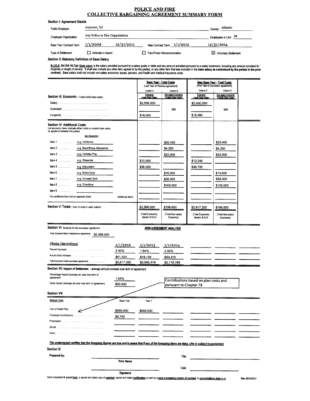#### **POLICE AND FIRE COLLECTIVE BARGAINING AGREEMENT SUMMARY FORM**

| Section I: Agreement Details |                                 |                            |                             |
|------------------------------|---------------------------------|----------------------------|-----------------------------|
| Public Employer:             | Anytown, NJ                     |                            | County: Atlantic            |
| <b>Employee Organization</b> | Any Police or Fire Organization |                            | Employees in Unit: 34       |
| Base Year Contract Term:     | 12/31/2011<br>1/1/2009          | New Contract Term 1/1/2012 | 12/31/2014                  |
| Type of Settlement:          | <b>Arbitrator's Award</b>       | Fact-Finder Recommendation | <b>Voluntary Settlement</b> |

Section II: Statutory Definition of Base Salary

N.J.S.A. 34:13A-16.7(a): <u>Base salary</u> is the salary provided pursuant to a salary guide or table and any amount provided pursuant to a salary increment, including any amount provided for<br>longevity or length of service. It

|                                              |                                                                                                                                                                                        |                         |                                      | <b>Base Year - Total Costs</b>                |                                       | <b>New Base Year - Total Costs</b>                         |                |
|----------------------------------------------|----------------------------------------------------------------------------------------------------------------------------------------------------------------------------------------|-------------------------|--------------------------------------|-----------------------------------------------|---------------------------------------|------------------------------------------------------------|----------------|
|                                              |                                                                                                                                                                                        |                         | Column A                             | (Last Year of Previous agreement)<br>Column B | Column C                              | (First Year of Successor agreement)<br>Column <sub>D</sub> |                |
|                                              | Section III: Economic - Costs inside base salary                                                                                                                                       |                         | Economic<br>Inside Base Salary       | Non-salary Economic<br>Outside Base Salary    | Economic<br>Inside Base Salary        | Non-salary Economic<br>Outside Base Salary                 |                |
|                                              |                                                                                                                                                                                        |                         | \$2,500,000                          |                                               | \$2,550,000                           |                                                            |                |
|                                              |                                                                                                                                                                                        |                         |                                      | N/A                                           |                                       | NΛ                                                         |                |
|                                              | Longevity                                                                                                                                                                              |                         | \$18,000                             |                                               | \$18,360                              |                                                            |                |
| <b>Section IV: Additional Costs</b>          |                                                                                                                                                                                        |                         |                                      |                                               |                                       |                                                            |                |
| as agreed to between the parties.            | List economic Items: indicate either inside or outside base salary                                                                                                                     |                         |                                      |                                               |                                       |                                                            |                |
|                                              | Item Description                                                                                                                                                                       |                         |                                      |                                               |                                       |                                                            |                |
| $Item 1$                                     | e.g. Uniforms                                                                                                                                                                          |                         |                                      | \$20,400                                      |                                       | \$20,400                                                   |                |
| $Item 2$                                     | e.g. Boot/Shoe Allowance                                                                                                                                                               |                         |                                      | \$4,250                                       |                                       | \$4,250                                                    |                |
| $Item 3$                                     | e.g. Holiday Pay                                                                                                                                                                       |                         |                                      | \$22,000                                      |                                       | \$22,000                                                   |                |
| $Item 4$                                     | e.g. Stipends                                                                                                                                                                          |                         | \$12,000                             |                                               | \$12,240                              |                                                            |                |
| $Item 5$                                     | e.g. Education                                                                                                                                                                         |                         | \$36,000                             |                                               | \$36,720                              |                                                            |                |
| Item 6 $\dots$                               | e.g. Extra Duty                                                                                                                                                                        |                         |                                      | \$15,000                                      |                                       | \$15,000                                                   |                |
| Item $7 \ldots \ldots$                       | e.g. Unused Sick                                                                                                                                                                       |                         |                                      | \$35,000                                      |                                       | \$35,000                                                   |                |
| Item $8$                                     | e.g. Overtime                                                                                                                                                                          |                         |                                      | \$100,000                                     |                                       | \$100,000                                                  |                |
| Item $9$                                     |                                                                                                                                                                                        |                         |                                      |                                               |                                       |                                                            |                |
| Any additional items list on separate sheet  |                                                                                                                                                                                        | <b>Additional Items</b> |                                      |                                               |                                       |                                                            |                |
|                                              | Section V: Totals - Sum of costs in each column                                                                                                                                        |                         | \$2,566,000                          | \$196,650                                     | \$2,617,320                           | \$196,650                                                  |                |
|                                              |                                                                                                                                                                                        |                         | (Total Economic)<br>Section III & IV | (Total Non-salary<br>Economic)                | (Total Economic)<br>Section III & IV  | (Total Non-salary<br>Economic)                             |                |
|                                              |                                                                                                                                                                                        |                         |                                      |                                               |                                       |                                                            |                |
|                                              | Section VI: Analysis of new successor agreement                                                                                                                                        |                         |                                      | <b>NEW AGREEMENT ANALYSIS</b>                 |                                       |                                                            |                |
| Total Economic Base Year(previous agreement) | \$2,566,000                                                                                                                                                                            |                         |                                      |                                               |                                       |                                                            |                |
|                                              |                                                                                                                                                                                        |                         |                                      |                                               |                                       |                                                            |                |
| Effective Date (m/d/yyyy)                    |                                                                                                                                                                                        | 1/1/2012                | 1/1/2013                             | 1/1/2014                                      |                                       |                                                            |                |
|                                              | Percent Increase                                                                                                                                                                       | 2.00%                   | 1.84%                                | 2.00%                                         |                                       |                                                            |                |
|                                              | Total Economic Costs (successor agreement)                                                                                                                                             | \$51,320                | \$48,159                             | \$53,310                                      |                                       |                                                            |                |
|                                              |                                                                                                                                                                                        | \$2,617,320             | \$2,665,479                          | \$2,718,789                                   |                                       |                                                            |                |
|                                              | Section VII: Impact of Settlement - average annual increase over term of agreement                                                                                                     |                         |                                      |                                               |                                       |                                                            |                |
| agreement)                                   | Percentage Impact (average per year over term of                                                                                                                                       | 1.94%                   |                                      |                                               |                                       |                                                            |                |
|                                              | Dollar Impact (average per year over term of agreement)                                                                                                                                | \$50,930                |                                      | pursuant to Chapter 78                        | Contributions based on plan costs and |                                                            |                |
| Section VIII                                 |                                                                                                                                                                                        |                         |                                      |                                               |                                       |                                                            |                |
| <b>Medical Costs</b>                         |                                                                                                                                                                                        | <b>Base Year</b>        | Year 1                               |                                               |                                       |                                                            |                |
|                                              |                                                                                                                                                                                        |                         |                                      |                                               |                                       |                                                            |                |
| Cost of Health Planess                       |                                                                                                                                                                                        | \$650,000               | \$650,000                            |                                               |                                       |                                                            |                |
|                                              |                                                                                                                                                                                        | \$9,750                 |                                      |                                               |                                       |                                                            |                |
|                                              |                                                                                                                                                                                        |                         |                                      |                                               |                                       |                                                            |                |
| Dental<br>Vision                             |                                                                                                                                                                                        |                         |                                      |                                               |                                       |                                                            |                |
|                                              | .                                                                                                                                                                                      |                         |                                      |                                               |                                       |                                                            |                |
|                                              | The undersigned certifies that the foregoing figures are true and is aware that if any of the foregoing items are false, s/he is subject to punisment.                                 |                         |                                      |                                               |                                       |                                                            |                |
| <b>Section IX</b>                            |                                                                                                                                                                                        |                         |                                      |                                               |                                       |                                                            |                |
| Prepared by:                                 |                                                                                                                                                                                        |                         |                                      | Title:                                        |                                       |                                                            |                |
|                                              |                                                                                                                                                                                        | <b>Print Name</b>       |                                      |                                               |                                       |                                                            |                |
|                                              |                                                                                                                                                                                        |                         |                                      | Date:                                         |                                       |                                                            |                |
|                                              | Send completed & signed form, a signed and dated copy of contract, signed and dated cartification as well as a word processing version of contract to contracte (apperc, state, n), us | Signature               |                                      |                                               |                                       |                                                            | Rev 2012.03.21 |
|                                              |                                                                                                                                                                                        |                         |                                      |                                               |                                       |                                                            |                |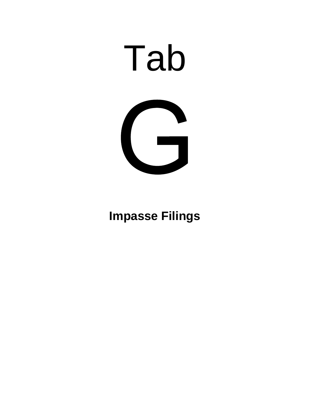

# **Impasse Filings**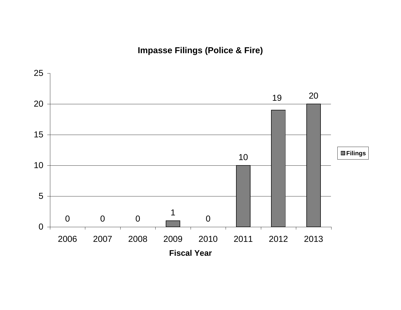**Impasse Filings (Police & Fire)**

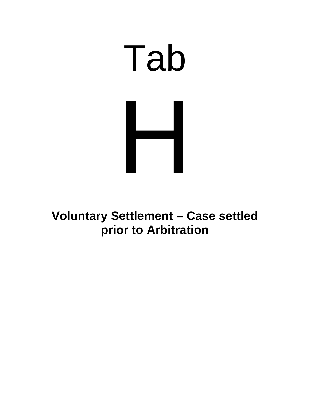# Tab

**Voluntary Settlement – Case settled prior to Arbitration**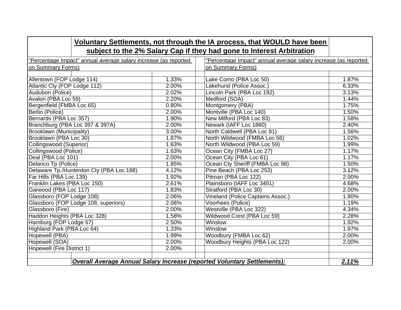|                                                                |       | Voluntary Settlements, not through the IA process, that WOULD have been  |       |
|----------------------------------------------------------------|-------|--------------------------------------------------------------------------|-------|
|                                                                |       | subject to the 2% Salary Cap if they had gone to Interest Arbitration    |       |
| Percentage Impact" annual average salary increase (as reported |       | "Percentage Impact" annual average salary increase (as reported          |       |
| on Summary Forms)                                              |       | on Summary Forms)                                                        |       |
|                                                                |       |                                                                          |       |
| Allentown (FOP Lodge 114)                                      | 1.33% | Lake Como (PBA Loc 50)                                                   | 1.87% |
| Atlantic Cty (FOP Lodge 112)                                   | 2.00% | Lakehurst (Police Assoc.)                                                | 6.33% |
| Audubon (Police)                                               | 2.02% | Lincoln Park (PBA Loc 192)                                               | 3.13% |
| Avalon (PBA Loc 59)                                            | 2.20% | Medford (SOA)                                                            | 1.44% |
| Bergenfield (FMBA Loc 65)                                      | 0.80% | Montgomery (PBA)                                                         | 1.75% |
| Berlin (Police)                                                | 2.00% | Montville (PBA Loc 140)                                                  | 1.50% |
| Bernards (PBA Loc 357)                                         | 1.90% | New Milford (PBA Loc 83)                                                 | 1.58% |
| Branchburg (PBA Loc 397 & 397A)                                | 2.00% | Newark (IAFF Loc 1860)                                                   | 2.40% |
| Brooklawn (Municipality)                                       | 3.00% | North Caldwell (PBA Loc 81)                                              | 1.56% |
| Brooklawn (PBA Loc 30)                                         | 1.87% | North Wildwood (FMBA Loc 56)                                             | 1.02% |
| Collingswood (Superior)                                        | 1.63% | North Wildwood (PBA Loc 59)                                              | 1.99% |
| Collingswood (Police)                                          | 1.63% | Ocean City (FMBA Loc 27)                                                 | 1.17% |
| Deal (PBA Loc 101)                                             | 2.00% | Ocean City (PBA Loc 61)                                                  | 1.17% |
| Delanco Tp (Police)                                            | 1.85% | Ocean Cty Sheriff (FMBA Loc 98)                                          | 1.50% |
| Delaware Tp./Hunterdon Cty (PBA Loc 188)                       | 4.12% | Pine Beach (PBA Loc 253)                                                 | 3.12% |
| Far Hills (PBA Loc 139)                                        | 1.92% | Pitman (PBA Loc 122)                                                     | 2.00% |
| Franklin Lakes (PBA Loc 150)                                   | 2.61% | Plainsboro (IAFF Loc 3451)                                               | 4.68% |
| Garwood (PBA Loc 117)                                          | 1.83% | Stratford (PBA Loc 30)                                                   | 2.00% |
| Glassboro (FOP Lodge 108)                                      | 2.06% | Vineland (Police Captains Assoc.)                                        | 1.90% |
| Glassboro (FOP Lodge 108, superiors)                           | 2.06% | Voorhees (Police)                                                        | 1.19% |
| Glassboro (Fire)                                               | 2.00% | Westville (PBA Loc 322)                                                  | 4.34% |
| Haddon Heights (PBA Loc 328)                                   | 1.58% | Wildwood Crest (PBA Loc 59)                                              | 2.28% |
| Hamburg (FOP Lodge 57)                                         | 2.50% | Winslow                                                                  | 1.92% |
| Highland Park (PBA Loc 64)                                     | 1.33% | Winslow                                                                  | 1.97% |
| Hopewell (PBA)                                                 | 1.99% | Woodbury (FMBA Loc 62)                                                   | 2.00% |
| Hopewell (SOA)                                                 | 2.00% | Woodbury Heights (PBA Loc 122)                                           | 2.00% |
| Hopewell (Fire District 1)                                     | 2.00% |                                                                          |       |
|                                                                |       |                                                                          |       |
|                                                                |       | Overall Average Annual Salary Increase (reported Voluntary Settlements): | 2.11% |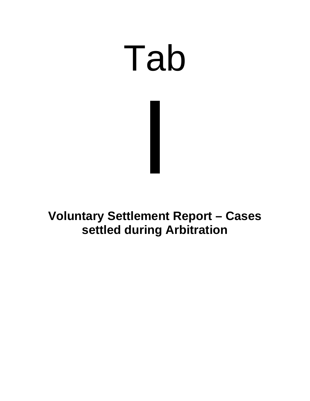# Tab

**Voluntary Settlement Report – Cases settled during Arbitration**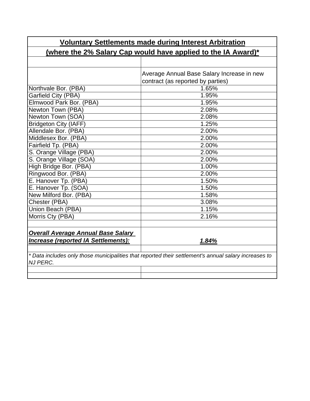| <b>Voluntary Settlements made during Interest Arbitration</b> |                                                                                                       |  |  |
|---------------------------------------------------------------|-------------------------------------------------------------------------------------------------------|--|--|
|                                                               | (where the 2% Salary Cap would have applied to the IA Award)*                                         |  |  |
|                                                               |                                                                                                       |  |  |
|                                                               | Average Annual Base Salary Increase in new                                                            |  |  |
|                                                               | contract (as reported by parties)                                                                     |  |  |
| Northvale Bor. (PBA)                                          | 1.65%                                                                                                 |  |  |
| Garfield City (PBA)                                           | 1.95%                                                                                                 |  |  |
| Elmwood Park Bor. (PBA)                                       | 1.95%                                                                                                 |  |  |
| Newton Town (PBA)                                             | 2.08%                                                                                                 |  |  |
| Newton Town (SOA)                                             | 2.08%                                                                                                 |  |  |
| <b>Bridgeton City (IAFF)</b>                                  | 1.25%                                                                                                 |  |  |
| Allendale Bor. (PBA)                                          | 2.00%                                                                                                 |  |  |
| Middlesex Bor. (PBA)                                          | 2.00%                                                                                                 |  |  |
| Fairfield Tp. (PBA)                                           | 2.00%                                                                                                 |  |  |
| S. Orange Village (PBA)                                       | 2.00%                                                                                                 |  |  |
| S. Orange Village (SOA)                                       | 2.00%                                                                                                 |  |  |
| High Bridge Bor. (PBA)                                        | 1.00%                                                                                                 |  |  |
| Ringwood Bor. (PBA)                                           | 2.00%                                                                                                 |  |  |
| E. Hanover Tp. (PBA)                                          | 1.50%                                                                                                 |  |  |
| E. Hanover Tp. (SOA)                                          | 1.50%                                                                                                 |  |  |
| New Milford Bor. (PBA)                                        | 1.58%                                                                                                 |  |  |
| Chester (PBA)                                                 | 3.08%                                                                                                 |  |  |
| Union Beach (PBA)                                             | 1.15%                                                                                                 |  |  |
| Morris Cty (PBA)                                              | 2.16%                                                                                                 |  |  |
| <b>Overall Average Annual Base Salary</b>                     |                                                                                                       |  |  |
| <b>Increase (reported IA Settlements):</b>                    | 1.84%                                                                                                 |  |  |
| <b>NJ PERC.</b>                                               | * Data includes only those municipalities that reported their settlement's annual salary increases to |  |  |
|                                                               |                                                                                                       |  |  |
|                                                               |                                                                                                       |  |  |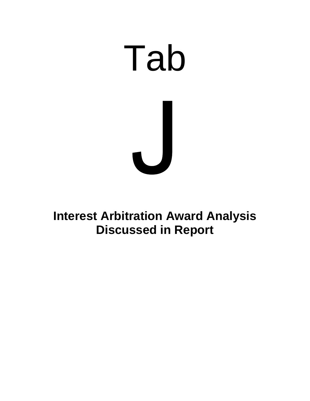# Tab

**Interest Arbitration Award Analysis Discussed in Report**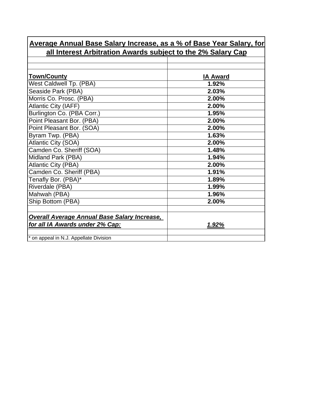| all interest Arbitration Awards subject to the 2% Salary Cap |                 |
|--------------------------------------------------------------|-----------------|
|                                                              |                 |
| <b>Town/County</b>                                           | <b>IA Award</b> |
| West Caldwell Tp. (PBA)                                      | 1.92%           |
| Seaside Park (PBA)                                           | 2.03%           |
| Morris Co. Prosc. (PBA)                                      | 2.00%           |
| <b>Atlantic City (IAFF)</b>                                  | 2.00%           |
| Burlington Co. (PBA Corr.)                                   | 1.95%           |
| Point Pleasant Bor. (PBA)                                    | 2.00%           |
| Point Pleasant Bor. (SOA)                                    | 2.00%           |
| Byram Twp. (PBA)                                             | 1.63%           |
| Atlantic City (SOA)                                          | 2.00%           |
| Camden Co. Sheriff (SOA)                                     | 1.48%           |
| Midland Park (PBA)                                           | 1.94%           |
| <b>Atlantic City (PBA)</b>                                   | 2.00%           |
| Camden Co. Sheriff (PBA)                                     | 1.91%           |
| Tenafly Bor. (PBA)*                                          | 1.89%           |
| Riverdale (PBA)                                              | 1.99%           |
| Mahwah (PBA)                                                 | 1.96%           |
| Ship Bottom (PBA)                                            | 2.00%           |
|                                                              |                 |
| <b>Overall Average Annual Base Salary Increase,</b>          |                 |
| for all IA Awards under 2% Cap:                              | <u>1.92%</u>    |
|                                                              |                 |
| * on appeal in N.J. Appellate Division                       |                 |

# **Average Annual Base Salary Increase, as a % of Base Year Salary, for all Interest Arbitration Awards subject to the 2% Salary Cap**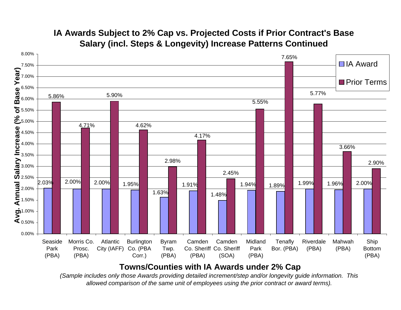

# **IA Awards Subject to 2% Cap vs. Projected Costs if Prior Contract's Base Salary (incl. Steps & Longevity) Increase Patterns Continued**

# **Towns/Counties with IA Awards under 2% Cap**

*(Sample includes only those Awards providing detailed increment/step and/or longevity guide information. This allowed comparison of the same unit of employees using the prior contract or award terms).*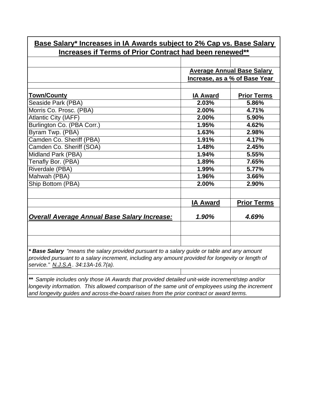| <u>Base Salary* Increases in IA Awards subject to 2% Cap vs. Base Salary</u>                                                                                                                                                           |                 |                                   |
|----------------------------------------------------------------------------------------------------------------------------------------------------------------------------------------------------------------------------------------|-----------------|-----------------------------------|
| Increases if Terms of Prior Contract had been renewed**                                                                                                                                                                                |                 |                                   |
|                                                                                                                                                                                                                                        |                 |                                   |
|                                                                                                                                                                                                                                        |                 | <b>Average Annual Base Salary</b> |
|                                                                                                                                                                                                                                        |                 | Increase, as a % of Base Year     |
|                                                                                                                                                                                                                                        |                 |                                   |
| <b>Town/County</b>                                                                                                                                                                                                                     | <b>IA Award</b> | <b>Prior Terms</b>                |
| Seaside Park (PBA)                                                                                                                                                                                                                     | 2.03%           | 5.86%                             |
| Morris Co. Prosc. (PBA)                                                                                                                                                                                                                | 2.00%           | 4.71%                             |
| <b>Atlantic City (IAFF)</b>                                                                                                                                                                                                            | 2.00%           | 5.90%                             |
| Burlington Co. (PBA Corr.)                                                                                                                                                                                                             | 1.95%           | 4.62%                             |
| Byram Twp. (PBA)                                                                                                                                                                                                                       | 1.63%           | 2.98%                             |
| Camden Co. Sheriff (PBA)                                                                                                                                                                                                               | 1.91%           | 4.17%                             |
| Camden Co. Sheriff (SOA)                                                                                                                                                                                                               | 1.48%           | 2.45%                             |
| Midland Park (PBA)                                                                                                                                                                                                                     | 1.94%           | 5.55%                             |
| Tenafly Bor. (PBA)                                                                                                                                                                                                                     | 1.89%           | 7.65%                             |
| Riverdale (PBA)                                                                                                                                                                                                                        | 1.99%           | 5.77%                             |
| Mahwah (PBA)                                                                                                                                                                                                                           | 1.96%           | 3.66%                             |
| Ship Bottom (PBA)                                                                                                                                                                                                                      | 2.00%           | 2.90%                             |
|                                                                                                                                                                                                                                        |                 |                                   |
|                                                                                                                                                                                                                                        | <b>IA Award</b> | <b>Prior Terms</b>                |
| <b>Overall Average Annual Base Salary Increase:</b>                                                                                                                                                                                    | 1.90%           | 4.69%                             |
|                                                                                                                                                                                                                                        |                 |                                   |
|                                                                                                                                                                                                                                        |                 |                                   |
| * Base Salary "means the salary provided pursuant to a salary guide or table and any amount<br>provided pursuant to a salary increment, including any amount provided for longevity or length of<br>service." N.J.S.A. 34:13A-16.7(a). |                 |                                   |

*\*\* Sample includes only those IA Awards that provided detailed unit-wide increment/step and/or longevity information. This allowed comparison of the same unit of employees using the increment and longevity guides and across-the-board raises from the prior contract or award terms.*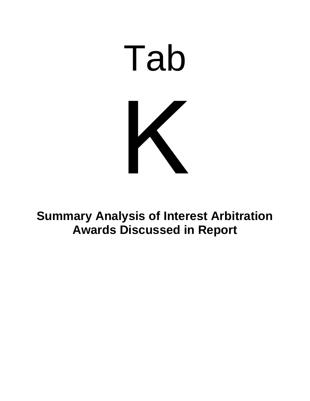

**Summary Analysis of Interest Arbitration Awards Discussed in Report**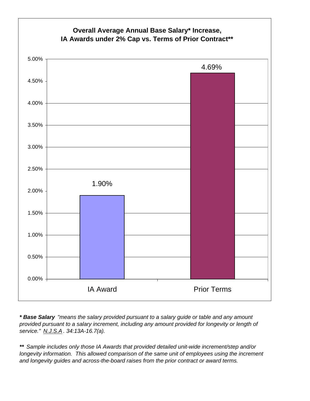

*\* Base Salary "means the salary provided pursuant to a salary guide or table and any amount provided pursuant to a salary increment, including any amount provided for longevity or length of service." N.J.S.A . 34:13A-16.7(a).*

*\*\* Sample includes only those IA Awards that provided detailed unit-wide increment/step and/or longevity information. This allowed comparison of the same unit of employees using the increment and longevity guides and across-the-board raises from the prior contract or award terms.*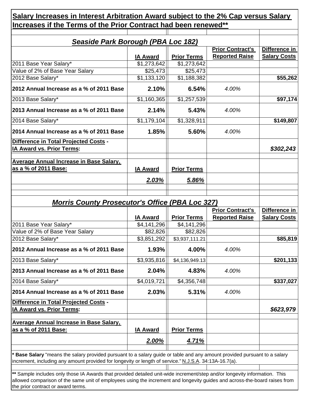| <u>Seaside Park Borough (PBA Loc 182)</u>                                                                                  |                 |                    |                         |                     |
|----------------------------------------------------------------------------------------------------------------------------|-----------------|--------------------|-------------------------|---------------------|
|                                                                                                                            |                 |                    | <b>Prior Contract's</b> | Difference in       |
|                                                                                                                            | <b>IA Award</b> | <b>Prior Terms</b> | <b>Reported Raise</b>   | <b>Salary Costs</b> |
| 2011 Base Year Salary*                                                                                                     | \$1,273,642     | \$1,273,642        |                         |                     |
| Value of 2% of Base Year Salary                                                                                            | \$25,473        | \$25,473           |                         |                     |
| 2012 Base Salary*                                                                                                          | \$1,133,120     | \$1,188,382        |                         | \$55,262            |
| 2012 Annual Increase as a % of 2011 Base                                                                                   | 2.10%           | 6.54%              | 4.00%                   |                     |
| 2013 Base Salary*                                                                                                          | \$1,160,365     | \$1,257,539        |                         | \$97,174            |
| 2013 Annual Increase as a % of 2011 Base                                                                                   | 2.14%           | 5.43%              | 4.00%                   |                     |
| 2014 Base Salary*                                                                                                          | \$1,179,104     | \$1,328,911        |                         | \$149,807           |
| 2014 Annual Increase as a % of 2011 Base                                                                                   | 1.85%           | 5.60%              | 4.00%                   |                     |
| Difference in Total Projected Costs -                                                                                      |                 |                    |                         |                     |
| <b>IA Award vs. Prior Terms:</b>                                                                                           |                 |                    |                         | \$302,243           |
| <b>Average Annual Increase in Base Salary,</b>                                                                             |                 |                    |                         |                     |
| as a % of 2011 Base:                                                                                                       | <b>IA Award</b> | <b>Prior Terms</b> |                         |                     |
|                                                                                                                            | <u>2.03%</u>    | <u>5.86%</u>       |                         |                     |
|                                                                                                                            |                 |                    |                         |                     |
|                                                                                                                            |                 |                    |                         |                     |
| <b>Morris County Prosecutor's Office (PBA Loc 327)</b>                                                                     |                 |                    |                         |                     |
|                                                                                                                            |                 |                    | <b>Prior Contract's</b> | Difference in       |
|                                                                                                                            | <b>IA Award</b> | <b>Prior Terms</b> | <b>Reported Raise</b>   | <b>Salary Costs</b> |
| 2011 Base Year Salary*                                                                                                     | \$4,141,296     | \$4,141,296        |                         |                     |
| Value of 2% of Base Year Salary<br>2012 Base Salary*                                                                       | \$82,826        | \$82,826           |                         | \$85,819            |
|                                                                                                                            | \$3,851,292     | \$3,937,111.21     |                         |                     |
| 2012 Annual Increase as a % of 2011 Base                                                                                   | 1.93%           | 4.00%              | 4.00%                   |                     |
| 2013 Base Salary*                                                                                                          | \$3,935,816     | \$4,136,949.13     |                         | \$201,133           |
| 2013 Annual Increase as a % of 2011 Base                                                                                   | 2.04%           | 4.83%              | 4.00%                   |                     |
| 2014 Base Salary*                                                                                                          | \$4,019,721     | \$4,356,748        |                         | \$337,027           |
| 2014 Annual Increase as a % of 2011 Base                                                                                   | 2.03%           | 5.31%              | 4.00%                   |                     |
| Difference in Total Projected Costs -<br>IA Award vs. Prior Terms:                                                         |                 |                    |                         | \$623,979           |
| <b>Average Annual Increase in Base Salary,</b>                                                                             |                 |                    |                         |                     |
| as a % of 2011 Base:                                                                                                       | <b>IA Award</b> | <b>Prior Terms</b> |                         |                     |
|                                                                                                                            | 2.00%           | <u>4.71%</u>       |                         |                     |
| Base Salary "means the salary provided pursuant to a salary guide or table and any amount provided pursuant to a salary    |                 |                    |                         |                     |
| increment, including any amount provided for longevity or length of service." N.J.S.A. 34:13A-16.7(a).                     |                 |                    |                         |                     |
| ** Sample includes only those IA Awards that provided detailed unit-wide increment/step and/or longevity information. This |                 |                    |                         |                     |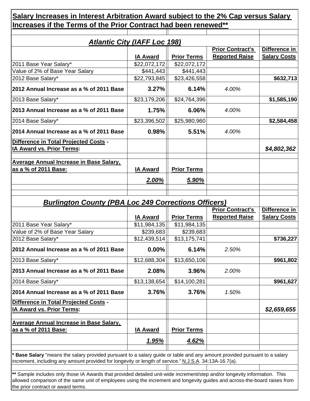|                                                                                                                                                                                                                                     | <b>Atlantic City (IAFF Loc 198)</b> |                           | <b>Prior Contract's</b> | Difference in       |
|-------------------------------------------------------------------------------------------------------------------------------------------------------------------------------------------------------------------------------------|-------------------------------------|---------------------------|-------------------------|---------------------|
|                                                                                                                                                                                                                                     | <b>IA Award</b>                     | <b>Prior Terms</b>        | <b>Reported Raise</b>   | <b>Salary Costs</b> |
| 2011 Base Year Salary*                                                                                                                                                                                                              | \$22,072,172                        | \$22,072,172              |                         |                     |
| Value of 2% of Base Year Salary                                                                                                                                                                                                     | \$441,443                           | \$441,443                 |                         |                     |
| 2012 Base Salary*                                                                                                                                                                                                                   | \$22,793,845                        | \$23,426,558              |                         | \$632,713           |
| 2012 Annual Increase as a % of 2011 Base                                                                                                                                                                                            | 3.27%                               | 6.14%                     | 4.00%                   |                     |
| 2013 Base Salary*                                                                                                                                                                                                                   | \$23,179,206                        | \$24,764,396              |                         | \$1,585,190         |
| 2013 Annual Increase as a % of 2011 Base                                                                                                                                                                                            | 1.75%                               | 6.06%                     | 4.00%                   |                     |
| 2014 Base Salary*                                                                                                                                                                                                                   | \$23,396,502                        | \$25,980,960              |                         | \$2,584,458         |
| 2014 Annual Increase as a % of 2011 Base                                                                                                                                                                                            | 0.98%                               | 5.51%                     | 4.00%                   |                     |
| Difference in Total Projected Costs -                                                                                                                                                                                               |                                     |                           |                         |                     |
| <b>IA Award vs. Prior Terms:</b>                                                                                                                                                                                                    |                                     |                           |                         | \$4,802,362         |
| <b>Average Annual Increase in Base Salary,</b>                                                                                                                                                                                      |                                     |                           |                         |                     |
| as a % of 2011 Base:                                                                                                                                                                                                                | <b>IA Award</b>                     | <b>Prior Terms</b>        |                         |                     |
|                                                                                                                                                                                                                                     | 2.00%                               | 5.90%                     |                         |                     |
|                                                                                                                                                                                                                                     |                                     |                           |                         |                     |
|                                                                                                                                                                                                                                     |                                     |                           |                         |                     |
| <b>Burlington County (PBA Loc 249 Corrections Officers)</b>                                                                                                                                                                         |                                     |                           |                         |                     |
|                                                                                                                                                                                                                                     |                                     |                           | <b>Prior Contract's</b> | Difference in       |
|                                                                                                                                                                                                                                     | <b>IA Award</b>                     | <b>Prior Terms</b>        | <b>Reported Raise</b>   | <b>Salary Costs</b> |
| 2011 Base Year Salary*                                                                                                                                                                                                              | \$11,984,135                        | \$11,984,135              |                         |                     |
| Value of 2% of Base Year Salary<br>2012 Base Salary*                                                                                                                                                                                | \$239,683<br>\$12,439,514           | \$239,683<br>\$13,175,741 |                         | \$736,227           |
|                                                                                                                                                                                                                                     |                                     |                           |                         |                     |
| 2012 Annual Increase as a % of 2011 Base                                                                                                                                                                                            | 0.00%                               |                           |                         |                     |
|                                                                                                                                                                                                                                     |                                     | 6.14%                     | 2.50%                   |                     |
| 2013 Base Salary*                                                                                                                                                                                                                   | \$12,688,304                        | \$13,650,106              |                         |                     |
| 2013 Annual Increase as a % of 2011 Base                                                                                                                                                                                            | 2.08%                               | 3.96%                     | 2.00%                   | \$961,802           |
| 2014 Base Salary*                                                                                                                                                                                                                   | \$13,138,654                        | \$14,100,281              |                         | \$961,627           |
| 2014 Annual Increase as a % of 2011 Base                                                                                                                                                                                            | 3.76%                               | 3.76%                     | 1.50%                   |                     |
| Difference in Total Projected Costs -                                                                                                                                                                                               |                                     |                           |                         |                     |
| IA Award vs. Prior Terms:                                                                                                                                                                                                           |                                     |                           |                         |                     |
|                                                                                                                                                                                                                                     |                                     |                           |                         | \$2,659,655         |
| <b>Average Annual Increase in Base Salary,</b>                                                                                                                                                                                      |                                     |                           |                         |                     |
| as a % of 2011 Base:                                                                                                                                                                                                                | <b>IA Award</b>                     | <b>Prior Terms</b>        |                         |                     |
|                                                                                                                                                                                                                                     | <u>1.95%</u>                        | <u>4.62%</u>              |                         |                     |
| * Base Salary "means the salary provided pursuant to a salary guide or table and any amount provided pursuant to a salary<br>increment, including any amount provided for longevity or length of service." N.J.S.A. 34:13A-16.7(a). |                                     |                           |                         |                     |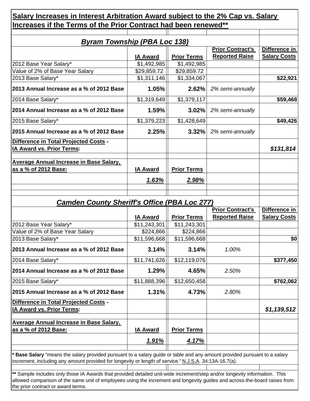|                                                                                                                                                                                                                                          | <b>Byram Township (PBA Loc 138)</b> |                    |                                                  |                                      |
|------------------------------------------------------------------------------------------------------------------------------------------------------------------------------------------------------------------------------------------|-------------------------------------|--------------------|--------------------------------------------------|--------------------------------------|
|                                                                                                                                                                                                                                          | <b>IA Award</b>                     | <b>Prior Terms</b> | <b>Prior Contract's</b><br><b>Reported Raise</b> | Difference in<br><b>Salary Costs</b> |
| 2012 Base Year Salary*                                                                                                                                                                                                                   | \$1,492,985                         | \$1,492,985        |                                                  |                                      |
| Value of 2% of Base Year Salary                                                                                                                                                                                                          | \$29,859.72                         | \$29,859.72        |                                                  |                                      |
| 2013 Base Salary*                                                                                                                                                                                                                        | \$1,311,146                         | \$1,334,067        |                                                  | \$22,921                             |
| 2013 Annual Increase as a % of 2012 Base                                                                                                                                                                                                 | 1.05%                               | 2.62%              | 2% semi-annually                                 |                                      |
| 2014 Base Salary*                                                                                                                                                                                                                        | \$1,319,649                         | \$1,379,117        |                                                  | \$59,468                             |
| 2014 Annual Increase as a % of 2012 Base                                                                                                                                                                                                 | 1.59%                               | 3.02%              | 2% semi-annually                                 |                                      |
| 2015 Base Salary*                                                                                                                                                                                                                        | \$1,379,223                         | \$1,428,649        |                                                  | \$49,426                             |
| 2015 Annual Increase as a % of 2012 Base                                                                                                                                                                                                 | 2.25%                               | 3.32%              | 2% semi-annually                                 |                                      |
| <b>Difference in Total Projected Costs -</b><br><b>IA Award vs. Prior Terms:</b>                                                                                                                                                         |                                     |                    |                                                  | \$131,814                            |
| <b>Average Annual Increase in Base Salary,</b><br>as a % of 2012 Base:                                                                                                                                                                   | <b>IA Award</b>                     | <b>Prior Terms</b> |                                                  |                                      |
|                                                                                                                                                                                                                                          | 1.63%                               | 2.98%              |                                                  |                                      |
|                                                                                                                                                                                                                                          |                                     |                    |                                                  |                                      |
|                                                                                                                                                                                                                                          |                                     |                    |                                                  |                                      |
|                                                                                                                                                                                                                                          | <b>IA Award</b>                     | <b>Prior Terms</b> | <b>Prior Contract's</b><br><b>Reported Raise</b> | Difference in<br><b>Salary Costs</b> |
| 2012 Base Year Salary*                                                                                                                                                                                                                   | \$11,243,301                        | \$11,243,301       |                                                  |                                      |
| Value of 2% of Base Year Salary                                                                                                                                                                                                          | \$224,866                           | \$224,866          |                                                  |                                      |
|                                                                                                                                                                                                                                          | \$11,596,668                        | \$11,596,668       |                                                  |                                      |
|                                                                                                                                                                                                                                          | 3.14%                               | 3.14%              | 1.00%                                            |                                      |
|                                                                                                                                                                                                                                          | \$11,741,626                        | \$12,119,076       |                                                  |                                      |
|                                                                                                                                                                                                                                          | 1.29%                               | 4.65%              | 2.50%                                            |                                      |
|                                                                                                                                                                                                                                          | \$11,888,396                        | \$12,650,458       |                                                  |                                      |
|                                                                                                                                                                                                                                          | 1.31%                               | 4.73%              | 2.80%                                            | \$0<br>\$377,450<br>\$762,062        |
| 2013 Base Salary*<br>2013 Annual Increase as a % of 2012 Base<br>2014 Base Salary*<br>2014 Annual Increase as a % of 2012 Base<br>2015 Base Salary*<br>2015 Annual Increase as a % of 2012 Base<br>Difference in Total Projected Costs - |                                     |                    |                                                  |                                      |
| <b>IA Award vs. Prior Terms:</b>                                                                                                                                                                                                         |                                     |                    |                                                  |                                      |
| <b>Average Annual Increase in Base Salary,</b>                                                                                                                                                                                           |                                     |                    |                                                  |                                      |
| as a % of 2012 Base:                                                                                                                                                                                                                     | <b>IA Award</b>                     | <b>Prior Terms</b> |                                                  | \$1,139,512                          |
|                                                                                                                                                                                                                                          | <u>1.91%</u>                        | <u>4.17%</u>       |                                                  |                                      |
| Base Salary "means the salary provided pursuant to a salary guide or table and any amount provided pursuant to a salary<br>increment, including any amount provided for longevity or length of service." N.J.S.A. 34:13A-16.7(a).        |                                     |                    |                                                  |                                      |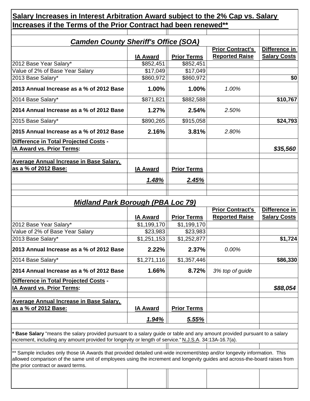| <b>Camden County Sheriff's Office (SOA)</b>                                                            |                                                       | <b>Prior Contract's</b>                                                                                                   | Difference in           |
|--------------------------------------------------------------------------------------------------------|-------------------------------------------------------|---------------------------------------------------------------------------------------------------------------------------|-------------------------|
| <b>IA Award</b>                                                                                        | <b>Prior Terms</b>                                    | <b>Reported Raise</b>                                                                                                     | <b>Salary Costs</b>     |
| \$852,451                                                                                              | \$852,451                                             |                                                                                                                           |                         |
| \$17,049                                                                                               | \$17,049                                              |                                                                                                                           |                         |
| \$860,972                                                                                              | \$860,972                                             |                                                                                                                           | \$0                     |
| 2013 Annual Increase as a % of 2012 Base<br>1.00%                                                      | 1.00%                                                 | 1.00%                                                                                                                     |                         |
| \$871,821                                                                                              | \$882,588                                             |                                                                                                                           | \$10,767                |
| 2014 Annual Increase as a % of 2012 Base<br>1.27%                                                      | 2.54%                                                 | 2.50%                                                                                                                     |                         |
| \$890,265                                                                                              | \$915,058                                             |                                                                                                                           | \$24,793                |
| 2015 Annual Increase as a % of 2012 Base<br>2.16%                                                      | 3.81%                                                 | 2.80%                                                                                                                     |                         |
|                                                                                                        |                                                       |                                                                                                                           | \$35,560                |
|                                                                                                        |                                                       |                                                                                                                           |                         |
|                                                                                                        |                                                       |                                                                                                                           |                         |
|                                                                                                        |                                                       |                                                                                                                           |                         |
| 1.48%                                                                                                  | 2.45%                                                 |                                                                                                                           |                         |
|                                                                                                        |                                                       |                                                                                                                           |                         |
|                                                                                                        |                                                       |                                                                                                                           | Difference in           |
|                                                                                                        |                                                       | <b>Reported Raise</b>                                                                                                     | <b>Salary Costs</b>     |
| \$1,199,170                                                                                            | \$1,199,170                                           |                                                                                                                           |                         |
| \$23,983                                                                                               | \$23,983                                              |                                                                                                                           |                         |
| \$1,251,153                                                                                            | \$1,252,877                                           |                                                                                                                           | \$1,724                 |
| 2013 Annual Increase as a % of 2012 Base<br>2.22%                                                      | 2.37%                                                 | 0.00%                                                                                                                     |                         |
| \$1,271,116                                                                                            | \$1,357,446                                           |                                                                                                                           | \$86,330                |
| 2014 Annual Increase as a % of 2012 Base<br>1.66%                                                      | 8.72%                                                 | 3% top of guide                                                                                                           |                         |
|                                                                                                        |                                                       |                                                                                                                           |                         |
|                                                                                                        |                                                       |                                                                                                                           | \$88,054                |
|                                                                                                        |                                                       |                                                                                                                           |                         |
|                                                                                                        |                                                       |                                                                                                                           |                         |
| <u>1.94%</u>                                                                                           | <u>5.55%</u>                                          |                                                                                                                           |                         |
|                                                                                                        |                                                       |                                                                                                                           |                         |
|                                                                                                        |                                                       |                                                                                                                           |                         |
| increment, including any amount provided for longevity or length of service." N.J.S.A. 34:13A-16.7(a). |                                                       | * Base Salary "means the salary provided pursuant to a salary guide or table and any amount provided pursuant to a salary |                         |
|                                                                                                        | <b>IA Award</b><br><b>IA Award</b><br><b>IA Award</b> | <b>Prior Terms</b><br><b>Midland Park Borough (PBA Loc 79)</b><br><b>Prior Terms</b><br><b>Prior Terms</b>                | <b>Prior Contract's</b> |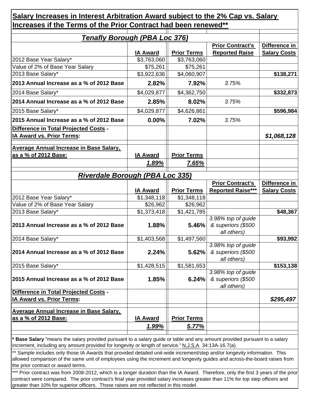| <b>Tenafly Borough (PBA Loc 376)</b>                                                                               |                         |                         |                                                         |                                      |
|--------------------------------------------------------------------------------------------------------------------|-------------------------|-------------------------|---------------------------------------------------------|--------------------------------------|
|                                                                                                                    | <b>IA Award</b>         | <b>Prior Terms</b>      | <b>Prior Contract's</b><br><b>Reported Raise</b>        | Difference in<br><b>Salary Costs</b> |
| 2012 Base Year Salary*                                                                                             | \$3,763,060             | \$3,763,060             |                                                         |                                      |
| Value of 2% of Base Year Salary                                                                                    | \$75,261                | \$75,261                |                                                         |                                      |
| 2013 Base Salary*                                                                                                  | \$3,922,636             | \$4,060,907             |                                                         | \$138,271                            |
| 2013 Annual Increase as a % of 2012 Base                                                                           | 2.82%                   | 7.92%                   | 3.75%                                                   |                                      |
| 2014 Base Salary*                                                                                                  | \$4,029,877             | \$4,362,750             |                                                         | \$332,873                            |
| 2014 Annual Increase as a % of 2012 Base                                                                           | 2.85%                   | 8.02%                   | 3.75%                                                   |                                      |
| 2015 Base Salary*                                                                                                  | \$4,029,877             | \$4,626,861             |                                                         | \$596,984                            |
| 2015 Annual Increase as a % of 2012 Base                                                                           | 0.00%                   | 7.02%                   | 3.75%                                                   |                                      |
| Difference in Total Projected Costs -<br><b>IA Award vs. Prior Terms:</b>                                          |                         |                         |                                                         | \$1,068,128                          |
| <b>Average Annual Increase in Base Salary,</b><br>as a % of 2012 Base:                                             | <b>IA Award</b>         | <b>Prior Terms</b>      |                                                         |                                      |
|                                                                                                                    | <u>1.89%</u>            | 7.65%                   |                                                         |                                      |
| <b>Riverdale Borough (PBA Loc 335)</b>                                                                             |                         |                         |                                                         |                                      |
|                                                                                                                    |                         |                         |                                                         |                                      |
|                                                                                                                    |                         |                         |                                                         |                                      |
|                                                                                                                    |                         |                         | <b>Prior Contract's</b>                                 | Difference in                        |
|                                                                                                                    | <b>IA Award</b>         | <b>Prior Terms</b>      | <b>Reported Raise***</b>                                | <b>Salary Costs</b>                  |
| 2012 Base Year Salary*<br>Value of 2% of Base Year Salary                                                          | \$1,348,118<br>\$26,962 | \$1,348,118<br>\$26,962 |                                                         |                                      |
| 2013 Base Salary*                                                                                                  | \$1,373,418             | \$1,421,785             |                                                         | \$48,367                             |
| 2013 Annual Increase as a % of 2012 Base                                                                           | 1.88%                   | 5.46%                   | 3.98% top of guide<br>& superiors (\$500                |                                      |
| 2014 Base Salary*                                                                                                  | \$1,403,568             | \$1,497,560             | all others)                                             | \$93,992                             |
|                                                                                                                    | 2.24%                   | 5.62%                   | 3.98% top of guide<br>& superiors (\$500                |                                      |
| 2015 Base Salary*                                                                                                  | \$1,428,515             | \$1,581,653             | all others)                                             |                                      |
| 2015 Annual Increase as a % of 2012 Base                                                                           | 1.85%                   | 6.24%                   | 3.98% top of guide<br>& superiors (\$500<br>all others) |                                      |
| Difference in Total Projected Costs -<br>IA Award vs. Prior Terms:                                                 |                         |                         |                                                         | \$295,497                            |
| 2014 Annual Increase as a % of 2012 Base<br><b>Average Annual Increase in Base Salary,</b><br>as a % of 2012 Base: | <b>IA Award</b>         | <b>Prior Terms</b>      |                                                         | \$153,138                            |
|                                                                                                                    | <u>1.99%</u>            | <u>5.77%</u>            |                                                         |                                      |

**\* Base Salary** "means the salary provided pursuant to a salary guide or table and any amount provided pursuant to a salary increment, including any amount provided for longevity or length of service." N.J.S.A. 34:13A-16.7(a).

\*\* Sample includes only those IA Awards that provided detailed unit-wide increment/step and/or longevity information. This allowed comparison of the same unit of employees using the increment and longevity guides and across-the-board raises from the prior contract or award terms.

\*\*\* Prior contract was from 2008-2012, which is a longer duration than the IA Award. Therefore, only the first 3 years of the prior contract were compared. The prior contract's final year provided salary increases greater than 11% for top step officers and greater than 10% for superior officers. Those raises are not reflected in this model.